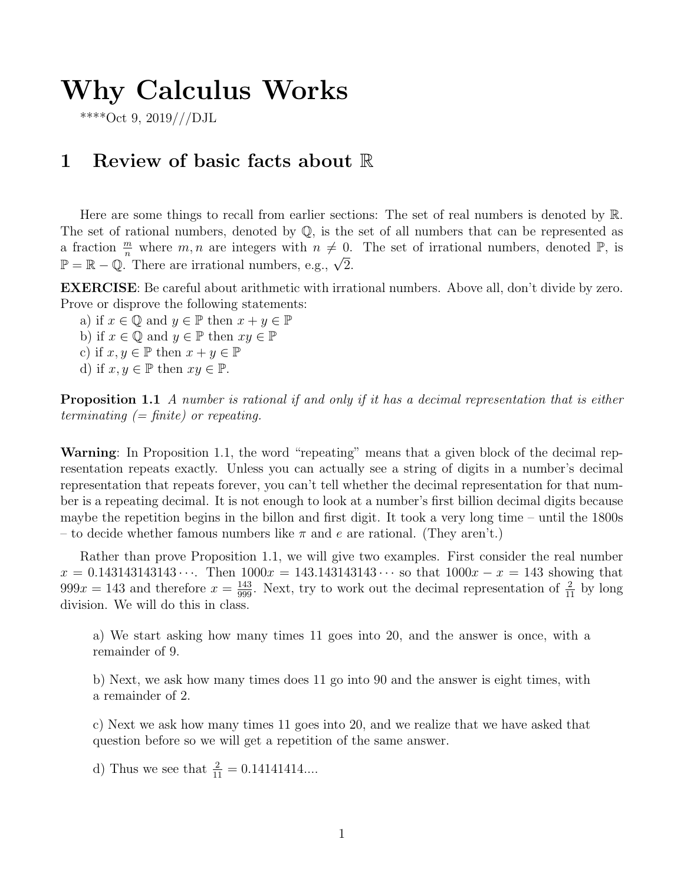# Why Calculus Works

\*\*\*\*Oct 9, 2019///DJL

### 1 Review of basic facts about R

Here are some things to recall from earlier sections: The set of real numbers is denoted by R. The set of rational numbers, denoted by Q, is the set of all numbers that can be represented as a fraction  $\frac{m}{n}$  where  $m, n$  are integers with  $n \neq 0$ . The set of irrational numbers, denoted  $\mathbb{P}$ , is a naction  $\frac{1}{n}$  where  $m, n$  are integers with  $n \neq 0$ .<br>  $\mathbb{P} = \mathbb{R} - \mathbb{Q}$ . There are irrational numbers, e.g.,  $\sqrt{2}$ .

EXERCISE: Be careful about arithmetic with irrational numbers. Above all, don't divide by zero. Prove or disprove the following statements:

a) if  $x \in \mathbb{Q}$  and  $y \in \mathbb{P}$  then  $x + y \in \mathbb{P}$ b) if  $x \in \mathbb{Q}$  and  $y \in \mathbb{P}$  then  $xy \in \mathbb{P}$ c) if  $x, y \in \mathbb{P}$  then  $x + y \in \mathbb{P}$ d) if  $x, y \in \mathbb{P}$  then  $xy \in \mathbb{P}$ .

**Proposition 1.1** A number is rational if and only if it has a decimal representation that is either terminating  $(=$  finite) or repeating.

Warning: In Proposition 1.1, the word "repeating" means that a given block of the decimal representation repeats exactly. Unless you can actually see a string of digits in a number's decimal representation that repeats forever, you can't tell whether the decimal representation for that number is a repeating decimal. It is not enough to look at a number's first billion decimal digits because maybe the repetition begins in the billon and first digit. It took a very long time – until the 1800s – to decide whether famous numbers like  $\pi$  and e are rational. (They aren't.)

Rather than prove Proposition 1.1, we will give two examples. First consider the real number  $x = 0.143143143143...$  Then  $1000x = 143.143143143...$  so that  $1000x - x = 143$  showing that  $999x = 143$  and therefore  $x = \frac{143}{999}$ . Next, try to work out the decimal representation of  $\frac{2}{11}$  by long division. We will do this in class.

a) We start asking how many times 11 goes into 20, and the answer is once, with a remainder of 9.

b) Next, we ask how many times does 11 go into 90 and the answer is eight times, with a remainder of 2.

c) Next we ask how many times 11 goes into 20, and we realize that we have asked that question before so we will get a repetition of the same answer.

d) Thus we see that  $\frac{2}{11} = 0.14141414...$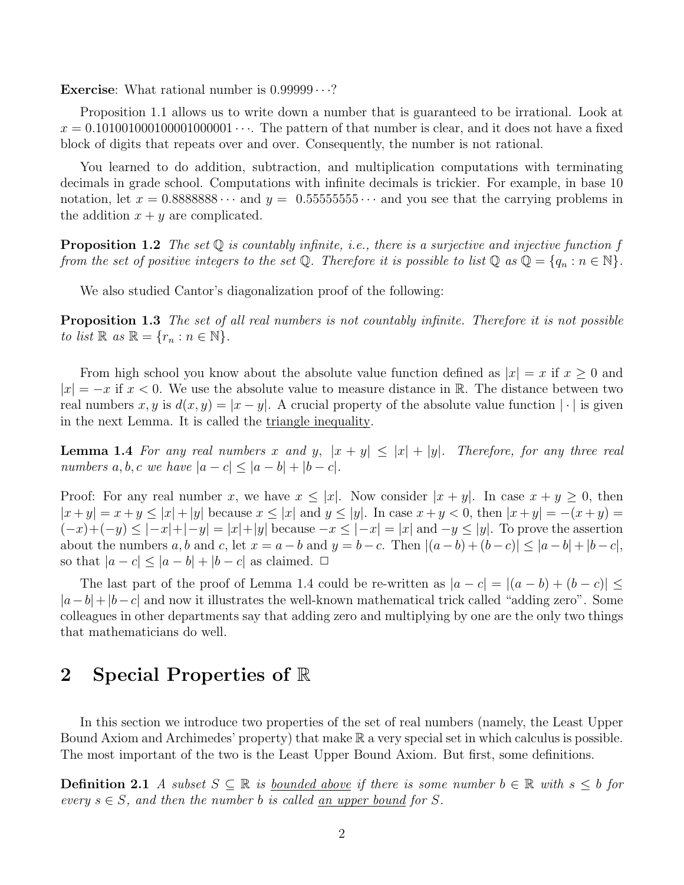**Exercise:** What rational number is  $0.99999 \cdots$ ?

Proposition 1.1 allows us to write down a number that is guaranteed to be irrational. Look at  $x = 0.101001000100001000001 \cdots$ . The pattern of that number is clear, and it does not have a fixed block of digits that repeats over and over. Consequently, the number is not rational.

You learned to do addition, subtraction, and multiplication computations with terminating decimals in grade school. Computations with infinite decimals is trickier. For example, in base 10 notation, let  $x = 0.88888888 \cdots$  and  $y = 0.55555555 \cdots$  and you see that the carrying problems in the addition  $x + y$  are complicated.

**Proposition 1.2** The set  $\mathbb Q$  is countably infinite, i.e., there is a surjective and injective function f from the set of positive integers to the set Q. Therefore it is possible to list Q as  $\mathbb{Q} = \{q_n : n \in \mathbb{N}\}.$ 

We also studied Cantor's diagonalization proof of the following:

**Proposition 1.3** The set of all real numbers is not countably infinite. Therefore it is not possible to list  $\mathbb{R}$  as  $\mathbb{R} = \{r_n : n \in \mathbb{N}\}.$ 

From high school you know about the absolute value function defined as  $|x| = x$  if  $x \ge 0$  and  $|x| = -x$  if  $x < 0$ . We use the absolute value to measure distance in R. The distance between two real numbers x, y is  $d(x, y) = |x - y|$ . A crucial property of the absolute value function  $|\cdot|$  is given in the next Lemma. It is called the triangle inequality.

**Lemma 1.4** For any real numbers x and y,  $|x + y| \leq |x| + |y|$ . Therefore, for any three real numbers  $a, b, c$  we have  $|a - c| \leq |a - b| + |b - c|$ .

Proof: For any real number x, we have  $x \leq |x|$ . Now consider  $|x + y|$ . In case  $x + y \geq 0$ , then  $|x + y| = x + y \le |x| + |y|$  because  $x \le |x|$  and  $y \le |y|$ . In case  $x + y < 0$ , then  $|x + y| = -(x + y) =$  $(-x)+(-y) \leq -x+|y| = |x|+|y|$  because  $-x \leq -x| = |x|$  and  $-y \leq |y|$ . To prove the assertion about the numbers a, b and c, let  $x = a - b$  and  $y = b - c$ . Then  $|(a - b) + (b - c)| \leq |a - b| + |b - c|$ , so that  $|a - c| \leq |a - b| + |b - c|$  as claimed.  $\Box$ 

The last part of the proof of Lemma 1.4 could be re-written as  $|a - c| = |(a - b) + (b - c)| \le$  $|a-b|+|b-c|$  and now it illustrates the well-known mathematical trick called "adding zero". Some colleagues in other departments say that adding zero and multiplying by one are the only two things that mathematicians do well.

### 2 Special Properties of R

In this section we introduce two properties of the set of real numbers (namely, the Least Upper Bound Axiom and Archimedes' property) that make R a very special set in which calculus is possible. The most important of the two is the Least Upper Bound Axiom. But first, some definitions.

**Definition 2.1** A subset  $S \subseteq \mathbb{R}$  is <u>bounded above</u> if there is some number  $b \in \mathbb{R}$  with  $s \leq b$  for every  $s \in S$ , and then the number b is called an upper bound for S.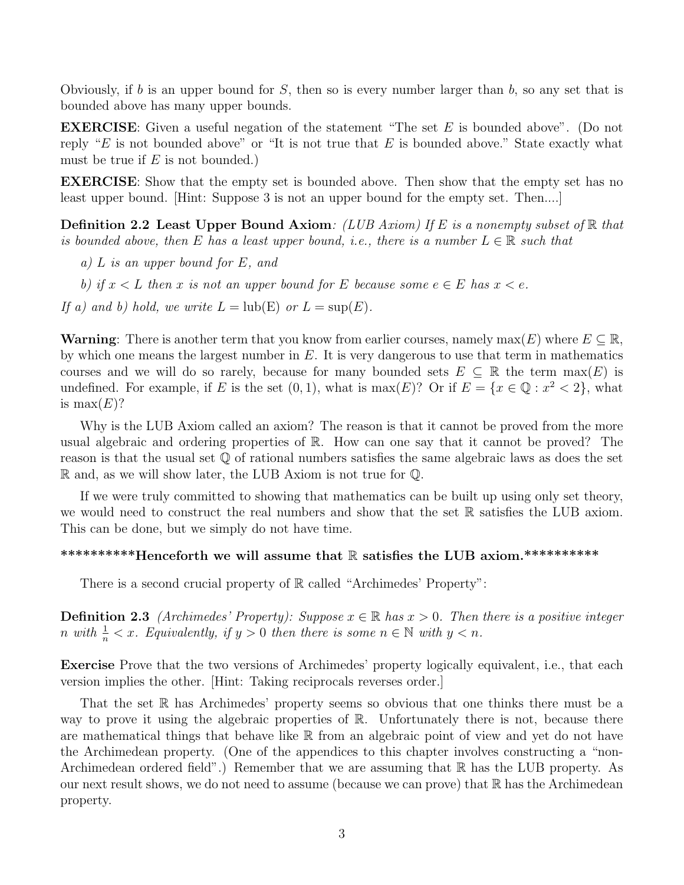Obviously, if b is an upper bound for S, then so is every number larger than b, so any set that is bounded above has many upper bounds.

EXERCISE: Given a useful negation of the statement "The set E is bounded above". (Do not reply "E is not bounded above" or "It is not true that  $E$  is bounded above." State exactly what must be true if  $E$  is not bounded.)

EXERCISE: Show that the empty set is bounded above. Then show that the empty set has no least upper bound. [Hint: Suppose 3 is not an upper bound for the empty set. Then....]

**Definition 2.2 Least Upper Bound Axiom:** (LUB Axiom) If E is a nonempty subset of  $\mathbb R$  that is bounded above, then E has a least upper bound, i.e., there is a number  $L \in \mathbb{R}$  such that

a) L is an upper bound for E, and

b) if  $x < L$  then x is not an upper bound for E because some  $e \in E$  has  $x < e$ .

If a) and b) hold, we write  $L = \text{lub}(E)$  or  $L = \text{sup}(E)$ .

**Warning:** There is another term that you know from earlier courses, namely max(E) where  $E \subseteq \mathbb{R}$ , by which one means the largest number in  $E$ . It is very dangerous to use that term in mathematics courses and we will do so rarely, because for many bounded sets  $E \subseteq \mathbb{R}$  the term  $max(E)$  is undefined. For example, if E is the set  $(0,1)$ , what is max $(E)$ ? Or if  $E = \{x \in \mathbb{Q} : x^2 < 2\}$ , what is  $max(E)?$ 

Why is the LUB Axiom called an axiom? The reason is that it cannot be proved from the more usual algebraic and ordering properties of R. How can one say that it cannot be proved? The reason is that the usual set Q of rational numbers satisfies the same algebraic laws as does the set R and, as we will show later, the LUB Axiom is not true for Q.

If we were truly committed to showing that mathematics can be built up using only set theory, we would need to construct the real numbers and show that the set R satisfies the LUB axiom. This can be done, but we simply do not have time.

#### \*\*\*\*\*\*\*\*\*\*\*Henceforth we will assume that R satisfies the LUB axiom.\*\*\*\*\*\*\*\*\*\*\*

There is a second crucial property of  $\mathbb R$  called "Archimedes' Property":

**Definition 2.3** (Archimedes' Property): Suppose  $x \in \mathbb{R}$  has  $x > 0$ . Then there is a positive integer n with  $\frac{1}{n} < x$ . Equivalently, if  $y > 0$  then there is some  $n \in \mathbb{N}$  with  $y < n$ .

Exercise Prove that the two versions of Archimedes' property logically equivalent, i.e., that each version implies the other. [Hint: Taking reciprocals reverses order.]

That the set  $\mathbb R$  has Archimedes' property seems so obvious that one thinks there must be a way to prove it using the algebraic properties of R. Unfortunately there is not, because there are mathematical things that behave like R from an algebraic point of view and yet do not have the Archimedean property. (One of the appendices to this chapter involves constructing a "non-Archimedean ordered field".) Remember that we are assuming that  $\mathbb R$  has the LUB property. As our next result shows, we do not need to assume (because we can prove) that  $\mathbb R$  has the Archimedean property.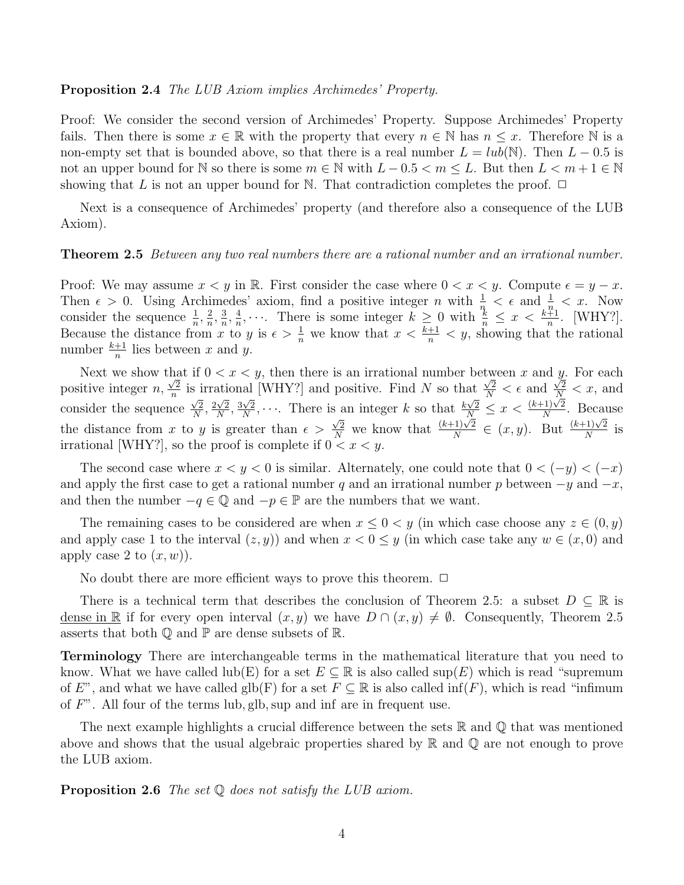#### Proposition 2.4 The LUB Axiom implies Archimedes' Property.

Proof: We consider the second version of Archimedes' Property. Suppose Archimedes' Property fails. Then there is some  $x \in \mathbb{R}$  with the property that every  $n \in \mathbb{N}$  has  $n \leq x$ . Therefore  $\mathbb N$  is a non-empty set that is bounded above, so that there is a real number  $L = lub(\mathbb{N})$ . Then  $L - 0.5$  is not an upper bound for N so there is some  $m \in \mathbb{N}$  with  $L - 0.5 < m \leq L$ . But then  $L < m + 1 \in \mathbb{N}$ showing that L is not an upper bound for N. That contradiction completes the proof.  $\Box$ 

Next is a consequence of Archimedes' property (and therefore also a consequence of the LUB Axiom).

#### **Theorem 2.5** Between any two real numbers there are a rational number and an irrational number.

Proof: We may assume  $x < y$  in R. First consider the case where  $0 < x < y$ . Compute  $\epsilon = y - x$ . Then  $\epsilon > 0$ . Using Archimedes' axiom, find a positive integer n with  $\frac{1}{n} < \epsilon$  and  $\frac{1}{n} < x$ . Now consider the sequence  $\frac{1}{n}, \frac{2}{n}$  $\frac{2}{n}, \frac{3}{n}$  $\frac{3}{n}, \frac{4}{n}$  $\frac{4}{n}, \cdots$  There is some integer  $k \geq 0$  with  $\frac{k}{n} \leq x < \frac{k+1}{n}$ . [WHY?]. Because the distance from x to y is  $\epsilon > \frac{1}{n}$  we know that  $x < \frac{k+1}{n} < y$ , showing that the rational number  $\frac{k+1}{n}$  lies between x and y.

Next we show that if  $0 < x < y$ , then there is an irrational number between x and y. For each positive integer  $n$ ,  $\frac{11c}{\sqrt{2}}$  $\frac{\sqrt{2}}{n}$  is irrational [WHY?] and positive. Find N so that  $\frac{\sqrt{2}}{N} < \epsilon$  and If  $0 < x < y$ , then there is an inational number between x and y. For each<br>s irrational [WHY?] and positive. Find N so that  $\frac{\sqrt{2}}{N} < \epsilon$  and  $\frac{\sqrt{2}}{N} < x$ , and consider the sequence  $\frac{\sqrt{2}}{N}$  $\frac{\sqrt{2}}{N}, \frac{2\sqrt{2}}{N}$  $\frac{\sqrt{2}}{N}, \frac{3\sqrt{2}}{N}$  $\frac{\sqrt{2}}{N}$ ,  $\cdots$ . There is an integer k so that  $\frac{k\sqrt{2}}{N} \leq x < \frac{(k+1)\sqrt{2}}{N}$  $\frac{N^{1/2}}{N}$ . Because the distance from x to y is greater than  $\epsilon$  $\frac{\sqrt{2}}{N}$  we know that  $\frac{(k+1)\sqrt{2}}{N}$  $\frac{N}{N}$  =  $\in$   $(x, y)$ . But  $\frac{(k+1)\sqrt{2}}{N}$  $\frac{(1)\sqrt{2}}{N}$  is irrational [WHY?], so the proof is complete if  $0 < x < y$ .

The second case where  $x < y < 0$  is similar. Alternately, one could note that  $0 < (-y) < (-x)$ and apply the first case to get a rational number q and an irrational number p between  $-y$  and  $-x$ , and then the number  $-q \in \mathbb{Q}$  and  $-p \in \mathbb{P}$  are the numbers that we want.

The remaining cases to be considered are when  $x \leq 0 \lt y$  (in which case choose any  $z \in (0, y)$ ) and apply case 1 to the interval  $(z, y)$  and when  $x < 0 \le y$  (in which case take any  $w \in (x, 0)$  and apply case 2 to  $(x, w)$ ).

No doubt there are more efficient ways to prove this theorem.  $\Box$ 

There is a technical term that describes the conclusion of Theorem 2.5: a subset  $D \subseteq \mathbb{R}$  is dense in R if for every open interval  $(x, y)$  we have  $D \cap (x, y) \neq \emptyset$ . Consequently, Theorem 2.5 asserts that both  $\mathbb Q$  and  $\mathbb P$  are dense subsets of  $\mathbb R$ .

Terminology There are interchangeable terms in the mathematical literature that you need to know. What we have called lub(E) for a set  $E \subseteq \mathbb{R}$  is also called sup(E) which is read "supremum of E", and what we have called glb(F) for a set  $F \subseteq \mathbb{R}$  is also called inf(F), which is read "infimum of  $F$ ". All four of the terms lub, glb, sup and inf are in frequent use.

The next example highlights a crucial difference between the sets  $\mathbb R$  and  $\mathbb Q$  that was mentioned above and shows that the usual algebraic properties shared by  $\mathbb R$  and  $\mathbb Q$  are not enough to prove the LUB axiom.

#### **Proposition 2.6** The set  $\mathbb Q$  does not satisfy the LUB axiom.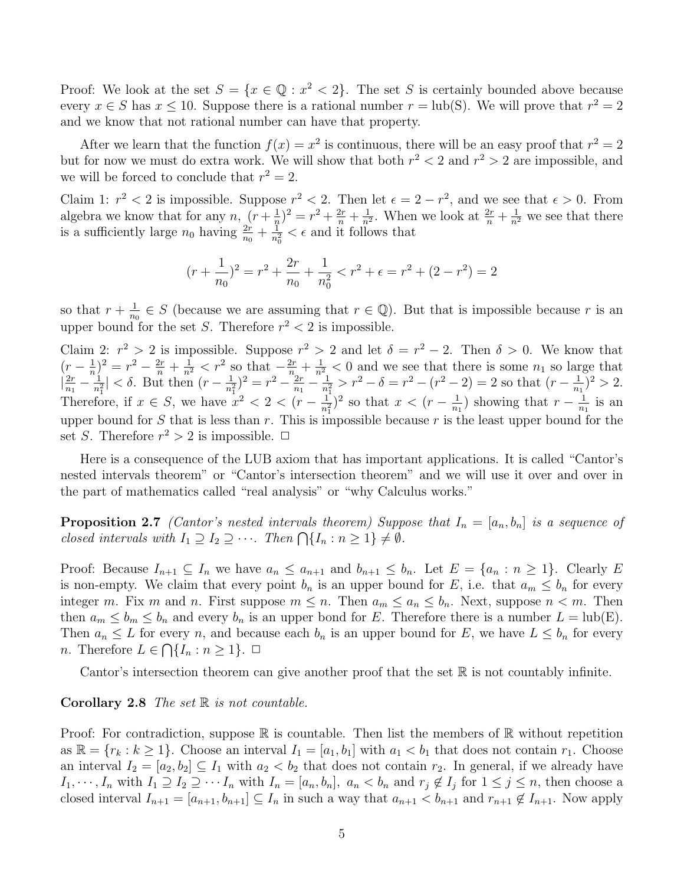Proof: We look at the set  $S = \{x \in \mathbb{Q} : x^2 < 2\}$ . The set S is certainly bounded above because every  $x \in S$  has  $x \leq 10$ . Suppose there is a rational number  $r = \text{lub}(S)$ . We will prove that  $r^2 = 2$ and we know that not rational number can have that property.

After we learn that the function  $f(x) = x^2$  is continuous, there will be an easy proof that  $r^2 = 2$ but for now we must do extra work. We will show that both  $r^2 < 2$  and  $r^2 > 2$  are impossible, and we will be forced to conclude that  $r^2 = 2$ .

Claim 1:  $r^2 < 2$  is impossible. Suppose  $r^2 < 2$ . Then let  $\epsilon = 2 - r^2$ , and we see that  $\epsilon > 0$ . From algebra we know that for any n,  $(r+\frac{1}{n})$  $(\frac{1}{n})^2 = r^2 + \frac{2r}{n} + \frac{1}{n^2}$  $\frac{1}{n^2}$ . When we look at  $\frac{2r}{n} + \frac{1}{n^2}$  we see that there is a sufficiently large  $n_0$  having  $\frac{2r}{n_0} + \frac{1}{n_0}$  $\frac{1}{n_0^2} < \epsilon$  and it follows that

$$
(r + \frac{1}{n_0})^2 = r^2 + \frac{2r}{n_0} + \frac{1}{n_0^2} < r^2 + \epsilon = r^2 + (2 - r^2) = 2
$$

so that  $r + \frac{1}{n}$  $\frac{1}{n_0} \in S$  (because we are assuming that  $r \in \mathbb{Q}$ ). But that is impossible because r is an upper bound for the set S. Therefore  $r^2 < 2$  is impossible.

Claim 2:  $r^2 > 2$  is impossible. Suppose  $r^2 > 2$  and let  $\delta = r^2 - 2$ . Then  $\delta > 0$ . We know that  $(r-\frac{1}{n})$  $(\frac{1}{n})^2 = r^2 - \frac{2r}{n} + \frac{1}{n^2} < r^2$  so that  $-\frac{2r}{n} + \frac{1}{n^2} < 0$  and we see that there is some  $n_1$  so large that  $\frac{2r}{n}$  $\frac{2r}{n_1} - \frac{1}{n_1^2}$  $\frac{1}{n_1^2}| < \delta$ . But then  $(r - \frac{1}{n_1^2})$  $(\frac{1}{n_1^2})^2 = r^2 - \frac{2r}{n_1}$  $\frac{2r}{n_1}-\frac{1}{n^2}$  $\frac{1}{n_1^2} > r^2 - \delta = r^2 - (r^2 - 2) = 2$  so that  $(r - \frac{1}{n_1})$  $\frac{1}{n_1})^2 > 2.$ Therefore, if  $x \in S$ , we have  $x^2 < 2 < (r - \frac{1}{n^2})$  $\frac{1}{n_1^2}$ )<sup>2</sup> so that  $x < (r - \frac{1}{n_1})$  $\frac{1}{n_1}$ ) showing that  $r - \frac{1}{n_1}$  $\frac{1}{n_1}$  is an upper bound for S that is less than r. This is impossible because r is the least upper bound for the set *S*. Therefore  $r^2 > 2$  is impossible.  $\Box$ 

Here is a consequence of the LUB axiom that has important applications. It is called "Cantor's nested intervals theorem" or "Cantor's intersection theorem" and we will use it over and over in the part of mathematics called "real analysis" or "why Calculus works."

**Proposition 2.7** (Cantor's nested intervals theorem) Suppose that  $I_n = [a_n, b_n]$  is a sequence of closed intervals with  $I_1 \supseteq I_2 \supseteq \cdots$ . Then  $\bigcap \{I_n : n \geq 1\} \neq \emptyset$ .

Proof: Because  $I_{n+1} \subseteq I_n$  we have  $a_n \le a_{n+1}$  and  $b_{n+1} \le b_n$ . Let  $E = \{a_n : n \ge 1\}$ . Clearly E is non-empty. We claim that every point  $b_n$  is an upper bound for E, i.e. that  $a_m \leq b_n$  for every integer m. Fix m and n. First suppose  $m \leq n$ . Then  $a_m \leq a_n \leq b_n$ . Next, suppose  $n < m$ . Then then  $a_m \leq b_m \leq b_n$  and every  $b_n$  is an upper bond for E. Therefore there is a number  $L = \text{lub}(E)$ . Then  $a_n \leq L$  for every n, and because each  $b_n$  is an upper bound for E, we have  $L \leq b_n$  for every *n*. Therefore  $L \in \bigcap \{I_n : n \geq 1\}$ .  $\Box$ 

Cantor's intersection theorem can give another proof that the set  $\mathbb R$  is not countably infinite.

#### **Corollary 2.8** The set  $\mathbb R$  is not countable.

Proof: For contradiction, suppose  $\mathbb R$  is countable. Then list the members of  $\mathbb R$  without repetition as  $\mathbb{R} = \{r_k : k \geq 1\}$ . Choose an interval  $I_1 = [a_1, b_1]$  with  $a_1 < b_1$  that does not contain  $r_1$ . Choose an interval  $I_2 = [a_2, b_2] \subseteq I_1$  with  $a_2 < b_2$  that does not contain  $r_2$ . In general, if we already have  $I_1, \dots, I_n$  with  $I_1 \supseteq I_2 \supseteq \dots I_n$  with  $I_n = [a_n, b_n]$ ,  $a_n < b_n$  and  $r_j \notin I_j$  for  $1 \leq j \leq n$ , then choose a closed interval  $I_{n+1} = [a_{n+1}, b_{n+1}] \subseteq I_n$  in such a way that  $a_{n+1} < b_{n+1}$  and  $r_{n+1} \notin I_{n+1}$ . Now apply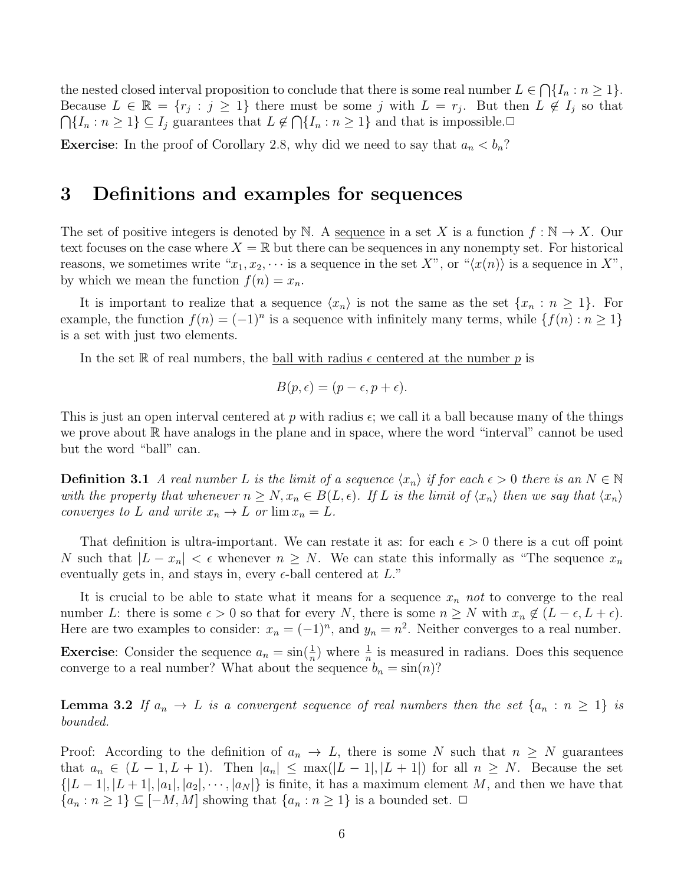the nested closed interval proposition to conclude that there is some real number  $L \in \bigcap \{I_n : n \geq 1\}.$ Because  $L \in \mathbb{R} = \{r_j : j \geq 1\}$  there must be some j with  $L = r_j$ . But then  $L \notin I_j$  so that  $\bigcap \{I_n : n \geq 1\} \subseteq I_j$  guarantees that  $L \notin \bigcap \{I_n : n \geq 1\}$  and that is impossible.

**Exercise:** In the proof of Corollary 2.8, why did we need to say that  $a_n < b_n$ ?

### 3 Definitions and examples for sequences

The set of positive integers is denoted by N. A sequence in a set X is a function  $f : \mathbb{N} \to X$ . Our text focuses on the case where  $X = \mathbb{R}$  but there can be sequences in any nonempty set. For historical reasons, we sometimes write " $x_1, x_2, \cdots$  is a sequence in the set X", or " $\langle x(n) \rangle$  is a sequence in X", by which we mean the function  $f(n) = x_n$ .

It is important to realize that a sequence  $\langle x_n \rangle$  is not the same as the set  $\{x_n : n \geq 1\}$ . For example, the function  $f(n) = (-1)^n$  is a sequence with infinitely many terms, while  $\{f(n) : n \geq 1\}$ is a set with just two elements.

In the set R of real numbers, the ball with radius  $\epsilon$  centered at the number p is

$$
B(p, \epsilon) = (p - \epsilon, p + \epsilon).
$$

This is just an open interval centered at p with radius  $\epsilon$ ; we call it a ball because many of the things we prove about  $\mathbb R$  have analogs in the plane and in space, where the word "interval" cannot be used but the word "ball" can.

**Definition 3.1** A real number L is the limit of a sequence  $\langle x_n \rangle$  if for each  $\epsilon > 0$  there is an  $N \in \mathbb{N}$ with the property that whenever  $n \geq N, x_n \in B(L, \epsilon)$ . If L is the limit of  $\langle x_n \rangle$  then we say that  $\langle x_n \rangle$ converges to L and write  $x_n \to L$  or  $\lim x_n = L$ .

That definition is ultra-important. We can restate it as: for each  $\epsilon > 0$  there is a cut off point N such that  $|L - x_n| < \epsilon$  whenever  $n \geq N$ . We can state this informally as "The sequence  $x_n$ eventually gets in, and stays in, every  $\epsilon$ -ball centered at  $L$ ."

It is crucial to be able to state what it means for a sequence  $x_n$  not to converge to the real number L: there is some  $\epsilon > 0$  so that for every N, there is some  $n \geq N$  with  $x_n \notin (L - \epsilon, L + \epsilon)$ . Here are two examples to consider:  $x_n = (-1)^n$ , and  $y_n = n^2$ . Neither converges to a real number. **Exercise**: Consider the sequence  $a_n = \sin(\frac{1}{n})$  where  $\frac{1}{n}$  is measured in radians. Does this sequence

**Lemma 3.2** If  $a_n \to L$  is a convergent sequence of real numbers then the set  $\{a_n : n \geq 1\}$  is bounded.

converge to a real number? What about the sequence  $b_n = \sin(n)$ ?

Proof: According to the definition of  $a_n \to L$ , there is some N such that  $n \geq N$  guarantees that  $a_n \in (L-1, L+1)$ . Then  $|a_n| \leq \max(|L-1|, |L+1|)$  for all  $n \geq N$ . Because the set  $\{|L-1|, |L+1|, |a_1|, |a_2|, \cdots, |a_N|\}\$ is finite, it has a maximum element M, and then we have that  $\{a_n : n \geq 1\} \subseteq [-M, M]$  showing that  $\{a_n : n \geq 1\}$  is a bounded set.  $\Box$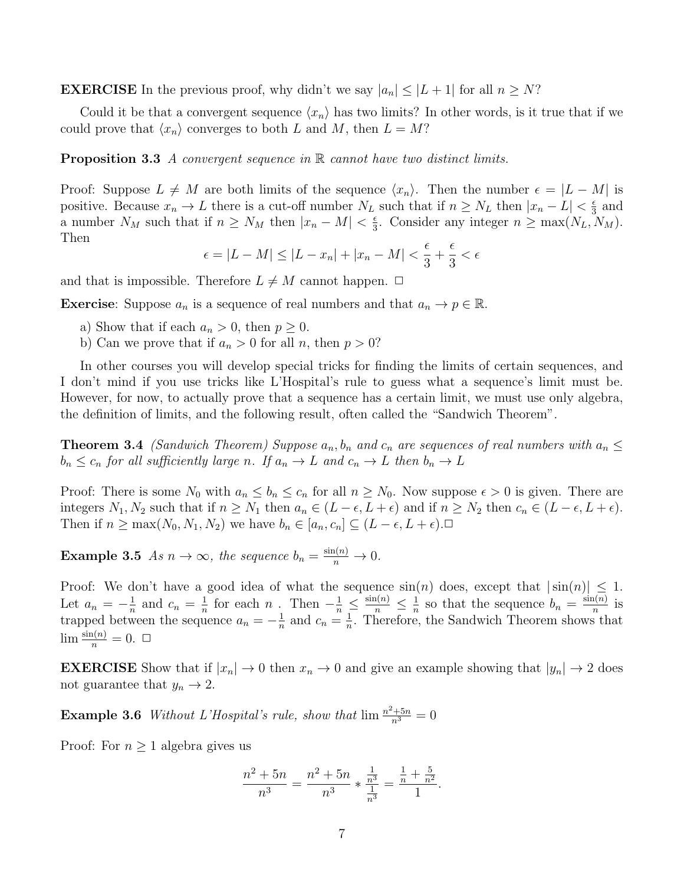**EXERCISE** In the previous proof, why didn't we say  $|a_n| \leq |L+1|$  for all  $n \geq N$ ?

Could it be that a convergent sequence  $\langle x_n \rangle$  has two limits? In other words, is it true that if we could prove that  $\langle x_n \rangle$  converges to both L and M, then  $L = M$ ?

**Proposition 3.3** A convergent sequence in R cannot have two distinct limits.

Proof: Suppose  $L \neq M$  are both limits of the sequence  $\langle x_n \rangle$ . Then the number  $\epsilon = |L - M|$  is positive. Because  $x_n \to L$  there is a cut-off number  $N_L$  such that if  $n \ge N_L$  then  $|x_n - L| < \frac{\epsilon}{3}$  $rac{\epsilon}{3}$  and a number  $N_M$  such that if  $n \ge N_M$  then  $|x_n - M| < \frac{\epsilon}{3}$  $\frac{\epsilon}{3}$ . Consider any integer  $n \geq \max(N_L, N_M)$ . Then

$$
\epsilon = |L - M| \le |L - x_n| + |x_n - M| < \frac{\epsilon}{3} + \frac{\epsilon}{3} < \epsilon
$$

and that is impossible. Therefore  $L \neq M$  cannot happen.  $\Box$ 

**Exercise:** Suppose  $a_n$  is a sequence of real numbers and that  $a_n \to p \in \mathbb{R}$ .

- a) Show that if each  $a_n > 0$ , then  $p \geq 0$ .
- b) Can we prove that if  $a_n > 0$  for all n, then  $p > 0$ ?

In other courses you will develop special tricks for finding the limits of certain sequences, and I don't mind if you use tricks like L'Hospital's rule to guess what a sequence's limit must be. However, for now, to actually prove that a sequence has a certain limit, we must use only algebra, the definition of limits, and the following result, often called the "Sandwich Theorem".

**Theorem 3.4** (Sandwich Theorem) Suppose  $a_n, b_n$  and  $c_n$  are sequences of real numbers with  $a_n \leq$  $b_n \leq c_n$  for all sufficiently large n. If  $a_n \to L$  and  $c_n \to L$  then  $b_n \to L$ 

Proof: There is some  $N_0$  with  $a_n \leq b_n \leq c_n$  for all  $n \geq N_0$ . Now suppose  $\epsilon > 0$  is given. There are integers  $N_1, N_2$  such that if  $n \geq N_1$  then  $a_n \in (L - \epsilon, L + \epsilon)$  and if  $n \geq N_2$  then  $c_n \in (L - \epsilon, L + \epsilon)$ . Then if  $n \ge \max(N_0, N_1, N_2)$  we have  $b_n \in [a_n, c_n] \subseteq (L - \epsilon, L + \epsilon)$ .

**Example 3.5** As  $n \to \infty$ , the sequence  $b_n = \frac{\sin(n)}{n} \to 0$ .

Proof: We don't have a good idea of what the sequence  $sin(n)$  does, except that  $|sin(n)| \leq 1$ . Let  $a_n = -\frac{1}{n}$  $\frac{1}{n}$  and  $c_n = \frac{1}{n}$  $\frac{1}{n}$  for each n. Then  $-\frac{1}{n} \leq \frac{\sin(n)}{n} \leq \frac{1}{n}$  $\frac{1}{n}$  so that the sequence  $b_n = \frac{\sin(n)}{n}$  $\frac{n(n)}{n}$  is trapped between the sequence  $a_n = -\frac{1}{n}$  $\frac{1}{n}$  and  $c_n = \frac{1}{n}$  $\frac{1}{n}$ . Therefore, the Sandwich Theorem shows that  $\lim_{n} \frac{\sin(n)}{n} = 0. \ \ \Box$ 

**EXERCISE** Show that if  $|x_n| \to 0$  then  $x_n \to 0$  and give an example showing that  $|y_n| \to 2$  does not guarantee that  $y_n \to 2$ .

**Example 3.6** Without L'Hospital's rule, show that  $\lim_{n \to \infty} \frac{n^2+5n}{n^3} = 0$ 

Proof: For  $n \geq 1$  algebra gives us

$$
\frac{n^2+5n}{n^3} = \frac{n^2+5n}{n^3} * \frac{\frac{1}{n^3}}{\frac{1}{n^3}} = \frac{\frac{1}{n} + \frac{5}{n^2}}{1}.
$$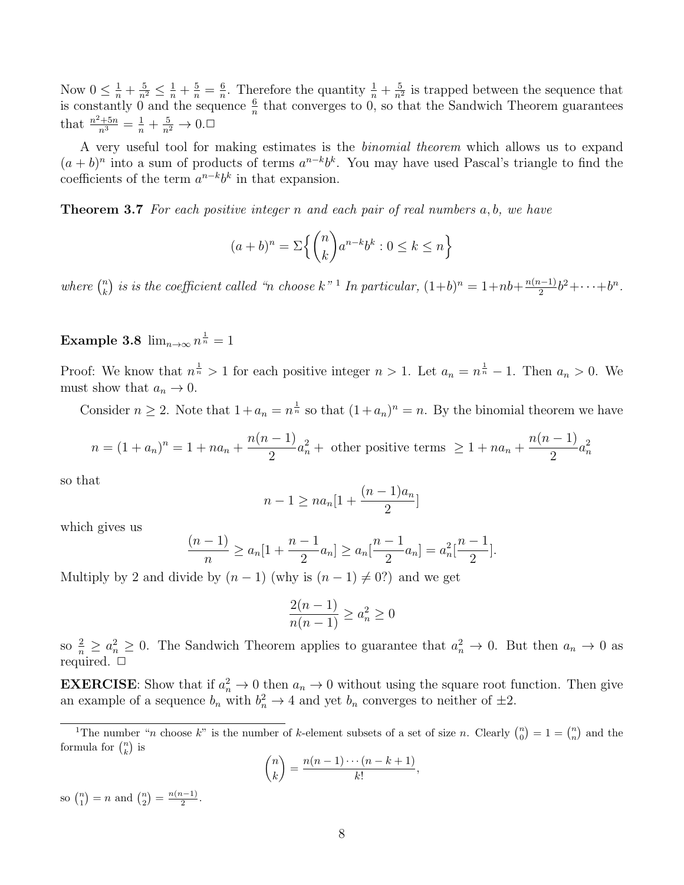Now  $0 \leq \frac{1}{n} + \frac{5}{n^2} \leq \frac{1}{n} + \frac{5}{n} = \frac{6}{n}$  $\frac{6}{n}$ . Therefore the quantity  $\frac{1}{n} + \frac{5}{n^2}$  $\frac{5}{n^2}$  is trapped between the sequence that is constantly 0 and the sequence  $\frac{6}{n}$  that converges to 0, so that the Sandwich Theorem guarantees that  $\frac{n^2+5n}{n^3} = \frac{1}{n} + \frac{5}{n^2} \to 0$ .

A very useful tool for making estimates is the binomial theorem which allows us to expand  $(a + b)^n$  into a sum of products of terms  $a^{n-k}b^k$ . You may have used Pascal's triangle to find the coefficients of the term  $a^{n-k}b^k$  in that expansion.

**Theorem 3.7** For each positive integer n and each pair of real numbers  $a, b$ , we have

$$
(a+b)^n = \sum \left\{ \binom{n}{k} a^{n-k} b^k : 0 \le k \le n \right\}
$$

where  $\binom{n}{k}$  $\binom{n}{k}$  is is the coefficient called "n choose  $k$ "<sup>1</sup> In particular,  $(1+b)^n = 1 + nb + \frac{n(n-1)}{2}$  $\frac{b^{2}-1}{2}b^{2}+\cdots+b^{n}$ .

Example 3.8  $\lim_{n\to\infty} n^{\frac{1}{n}} = 1$ 

Proof: We know that  $n^{\frac{1}{n}} > 1$  for each positive integer  $n > 1$ . Let  $a_n = n^{\frac{1}{n}} - 1$ . Then  $a_n > 0$ . We must show that  $a_n \to 0$ .

Consider  $n \geq 2$ . Note that  $1 + a_n = n^{\frac{1}{n}}$  so that  $(1 + a_n)^n = n$ . By the binomial theorem we have

$$
n = (1 + a_n)^n = 1 + na_n + \frac{n(n-1)}{2}a_n^2 + \text{ other positive terms } \ge 1 + na_n + \frac{n(n-1)}{2}a_n^2
$$

so that

$$
n-1 \ge na_n[1 + \frac{(n-1)a_n}{2}]
$$

which gives us

$$
\frac{(n-1)}{n} \ge a_n[1 + \frac{n-1}{2}a_n] \ge a_n[\frac{n-1}{2}a_n] = a_n^2[\frac{n-1}{2}].
$$

Multiply by 2 and divide by  $(n-1)$  (why is  $(n-1) \neq 0$ ?) and we get

$$
\frac{2(n-1)}{n(n-1)} \ge a_n^2 \ge 0
$$

so  $\frac{2}{n} \ge a_n^2 \ge 0$ . The Sandwich Theorem applies to guarantee that  $a_n^2 \to 0$ . But then  $a_n \to 0$  as required.  $\Box$ 

**EXERCISE:** Show that if  $a_n^2 \to 0$  then  $a_n \to 0$  without using the square root function. Then give an example of a sequence  $b_n$  with  $b_n^2 \to 4$  and yet  $b_n$  converges to neither of  $\pm 2$ .

$$
\binom{n}{k} = \frac{n(n-1)\cdots(n-k+1)}{k!}
$$

,

so  $\binom{n}{1} = n$  and  $\binom{n}{2} = \frac{n(n-1)}{2}$  $\frac{i-1j}{2}$ .

<sup>&</sup>lt;sup>1</sup>The number "*n* choose k" is the number of k-element subsets of a set of size *n*. Clearly  $\binom{n}{0} = 1 = \binom{n}{n}$  and the formula for  $\binom{n}{k}$  is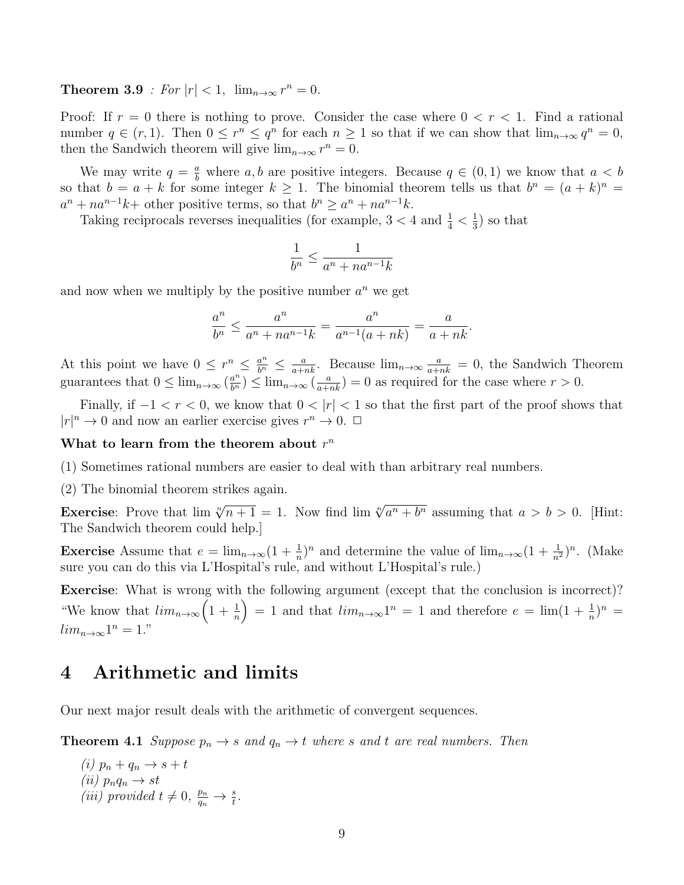**Theorem 3.9** : For  $|r| < 1$ ,  $\lim_{n \to \infty} r^n = 0$ .

Proof: If  $r = 0$  there is nothing to prove. Consider the case where  $0 < r < 1$ . Find a rational number  $q \in (r, 1)$ . Then  $0 \leq r^n \leq q^n$  for each  $n \geq 1$  so that if we can show that  $\lim_{n \to \infty} q^n = 0$ , then the Sandwich theorem will give  $\lim_{n\to\infty} r^n = 0$ .

We may write  $q = \frac{a}{b}$  where a, b are positive integers. Because  $q \in (0, 1)$  we know that  $a < b$ so that  $b = a + k$  for some integer  $k \ge 1$ . The binomial theorem tells us that  $b^n = (a + k)^n$  $a^{n} + na^{n-1}k$  other positive terms, so that  $b^{n} \ge a^{n} + na^{n-1}k$ .

Taking reciprocals reverses inequalities (for example,  $3 < 4$  and  $\frac{1}{4} < \frac{1}{3}$ )  $(\frac{1}{3})$  so that

$$
\frac{1}{b^n} \le \frac{1}{a^n + na^{n-1}k}
$$

and now when we multiply by the positive number  $a^n$  we get

$$
\frac{a^n}{b^n} \le \frac{a^n}{a^n + na^{n-1}k} = \frac{a^n}{a^{n-1}(a+nk)} = \frac{a}{a+nk}.
$$

At this point we have  $0 \leq r^n \leq \frac{a^n}{b^n} \leq \frac{a}{a+nk}$ . Because  $\lim_{n\to\infty} \frac{a}{a+nk} = 0$ , the Sandwich Theorem guarantees that  $0 \leq \lim_{n \to \infty} (\frac{a^n}{b^n}) \leq \lim_{n \to \infty} (\frac{a}{a+nk}) = 0$  as required for the case where  $r > 0$ .

Finally, if  $-1 < r < 0$ , we know that  $0 < |r| < 1$  so that the first part of the proof shows that  $|r|^{n} \to 0$  and now an earlier exercise gives  $r^{n} \to 0$ .  $\Box$ 

#### What to learn from the theorem about  $r^n$

(1) Sometimes rational numbers are easier to deal with than arbitrary real numbers.

(2) The binomial theorem strikes again.

Exercise: Prove that  $\lim_{n \to \infty} \sqrt[n]{n+1} = 1$ . Now find  $\lim_{n \to \infty} \sqrt[n]{a^n + b^n}$  assuming that  $a > b > 0$ . [Hint: The Sandwich theorem could help.]

**Exercise** Assume that  $e = \lim_{n \to \infty} (1 + \frac{1}{n})^n$  and determine the value of  $\lim_{n \to \infty} (1 + \frac{1}{n^2})^n$ . (Make sure you can do this via L'Hospital's rule, and without L'Hospital's rule.)

Exercise: What is wrong with the following argument (except that the conclusion is incorrect)? "We know that  $\lim_{n\to\infty} \left(1+\frac{1}{n}\right) = 1$  and that  $\lim_{n\to\infty} 1^n = 1$  and therefore  $e = \lim_{n\to\infty} (1+\frac{1}{n})^n =$  $lim_{n\to\infty} 1^n = 1$ ."

#### 4 Arithmetic and limits

Our next major result deals with the arithmetic of convergent sequences.

**Theorem 4.1** Suppose  $p_n \to s$  and  $q_n \to t$  where s and t are real numbers. Then

(i)  $p_n + q_n \rightarrow s + t$  $(ii)$   $p_nq_n \rightarrow st$ (iii) provided  $t \neq 0$ ,  $\frac{p_n}{q_n} \to \frac{s}{t}$ .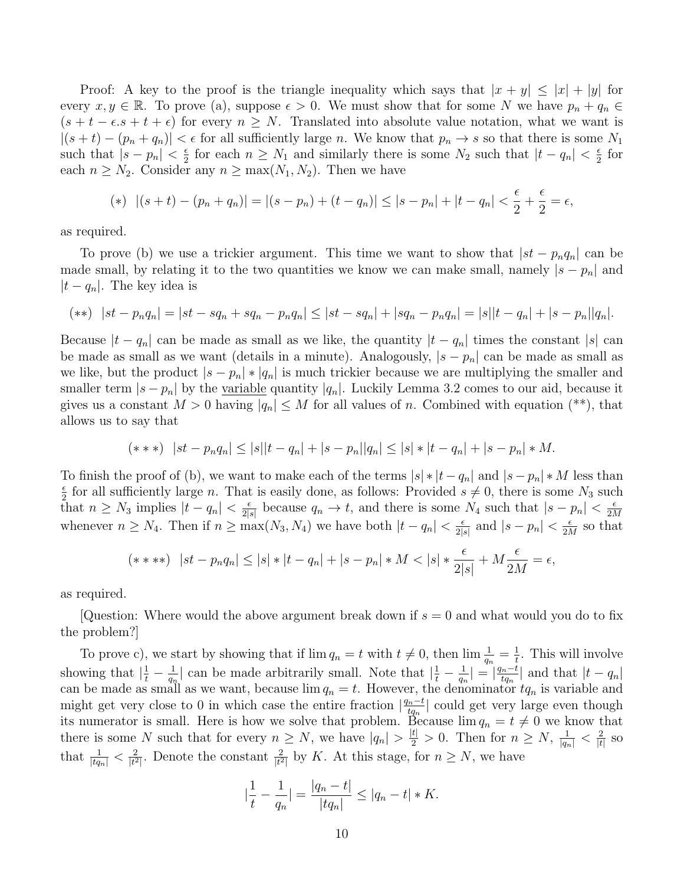Proof: A key to the proof is the triangle inequality which says that  $|x + y| \leq |x| + |y|$  for every  $x, y \in \mathbb{R}$ . To prove (a), suppose  $\epsilon > 0$ . We must show that for some N we have  $p_n + q_n \in \mathbb{R}$ .  $(s + t - \epsilon s + t + \epsilon)$  for every  $n \geq N$ . Translated into absolute value notation, what we want is  $|(s + t) - (p_n + q_n)| < \epsilon$  for all sufficiently large n. We know that  $p_n \to s$  so that there is some N<sub>1</sub> such that  $|s - p_n| < \frac{\epsilon}{2}$  $\frac{\epsilon}{2}$  for each  $n \geq N_1$  and similarly there is some  $N_2$  such that  $|t - q_n| < \frac{\epsilon}{2}$  $rac{\epsilon}{2}$  for each  $n \geq N_2$ . Consider any  $n \geq \max(N_1, N_2)$ . Then we have

(\*) 
$$
|(s+t)-(p_n+q_n)|=|(s-p_n)+(t-q_n)| \leq |s-p_n|+|t-q_n| < \frac{\epsilon}{2}+\frac{\epsilon}{2}=\epsilon,
$$

as required.

To prove (b) we use a trickier argument. This time we want to show that  $|st - p_n q_n|$  can be made small, by relating it to the two quantities we know we can make small, namely  $|s - p_n|$  and  $|t - q_n|$ . The key idea is

$$
(**) \quad |st - p_n q_n| = |st - s q_n + s q_n - p_n q_n| \leq |st - s q_n| + |s q_n - p_n q_n| = |s||t - q_n| + |s - p_n||q_n|.
$$

Because  $|t - q_n|$  can be made as small as we like, the quantity  $|t - q_n|$  times the constant  $|s|$  can be made as small as we want (details in a minute). Analogously,  $|s - p_n|$  can be made as small as we like, but the product  $|s - p_n| * |q_n|$  is much trickier because we are multiplying the smaller and smaller term  $|s - p_n|$  by the <u>variable</u> quantity  $|q_n|$ . Luckily Lemma 3.2 comes to our aid, because it gives us a constant  $M > 0$  having  $|q_n| \leq M$  for all values of n. Combined with equation (\*\*), that allows us to say that

$$
(***) \ \ |st - p_n q_n| \leq |s||t - q_n| + |s - p_n||q_n| \leq |s| * |t - q_n| + |s - p_n| * M.
$$

To finish the proof of (b), we want to make each of the terms  $|s| * |t - q_n|$  and  $|s - p_n| * M$  less than  $\epsilon$  $\frac{\epsilon}{2}$  for all sufficiently large *n*. That is easily done, as follows: Provided  $s \neq 0$ , there is some  $N_3$  such that  $n \geq N_3$  implies  $|t - q_n| < \frac{\epsilon}{2!}$  $\frac{\epsilon}{2|s|}$  because  $q_n \to t$ , and there is some  $N_4$  such that  $|s - p_n| < \frac{\epsilon}{2N}$ 2M whenever  $n \geq N_4$ . Then if  $n \geq \max(N_3, N_4)$  we have both  $|t - q_n| < \frac{\epsilon}{2!}$ .  $\frac{\epsilon}{2|s|}$  and  $|s-p_n| < \frac{\epsilon}{2\Lambda}$  $\frac{\epsilon}{2M}$  so that

$$
(****) \ \ |st - p_n q_n| \le |s| * |t - q_n| + |s - p_n| * M < |s| * \frac{\epsilon}{2|s|} + M \frac{\epsilon}{2M} = \epsilon,
$$

as required.

Question: Where would the above argument break down if  $s = 0$  and what would you do to fix the problem?]

To prove c), we start by showing that if  $\lim q_n = t$  with  $t \neq 0$ , then  $\lim \frac{1}{q_n} = \frac{1}{t}$  $\frac{1}{t}$ . This will involve showing that  $\left|\frac{1}{t} - \frac{1}{q_r}\right|$  $\frac{1}{q_n}$  can be made arbitrarily small. Note that  $\left|\frac{1}{t} - \frac{1}{q_n}\right|$  $\frac{1}{q_n}| = \left|\frac{q_n-t}{tq_n}\right|$  $\frac{t_{n}-t}{t_{q_{n}}}$  and that  $|t-q_{n}|$ can be made as small as we want, because  $\lim q_n = t$ . However, the denominator  $tq_n$  is variable and might get very close to 0 in which case the entire fraction  $\left|\frac{q_n-t}{t_q}\right|$  $\frac{t_n-t}{tq_n}$  could get very large even though its numerator is small. Here is how we solve that problem. Because  $\lim q_n = t \neq 0$  we know that there is some N such that for every  $n \geq N$ , we have  $|q_n| > \frac{|t|}{2} > 0$ . Then for  $n \geq N$ ,  $\frac{1}{|q_n|} < \frac{2}{|t|}$  $\frac{2}{|t|}$  so that  $\frac{1}{|tq_n|} < \frac{2}{|t^2|}$  $\frac{2}{|t^2|}$ . Denote the constant  $\frac{2}{|t^2|}$  by K. At this stage, for  $n \geq N$ , we have

$$
\left|\frac{1}{t} - \frac{1}{q_n}\right| = \frac{|q_n - t|}{|tq_n|} \le |q_n - t| * K.
$$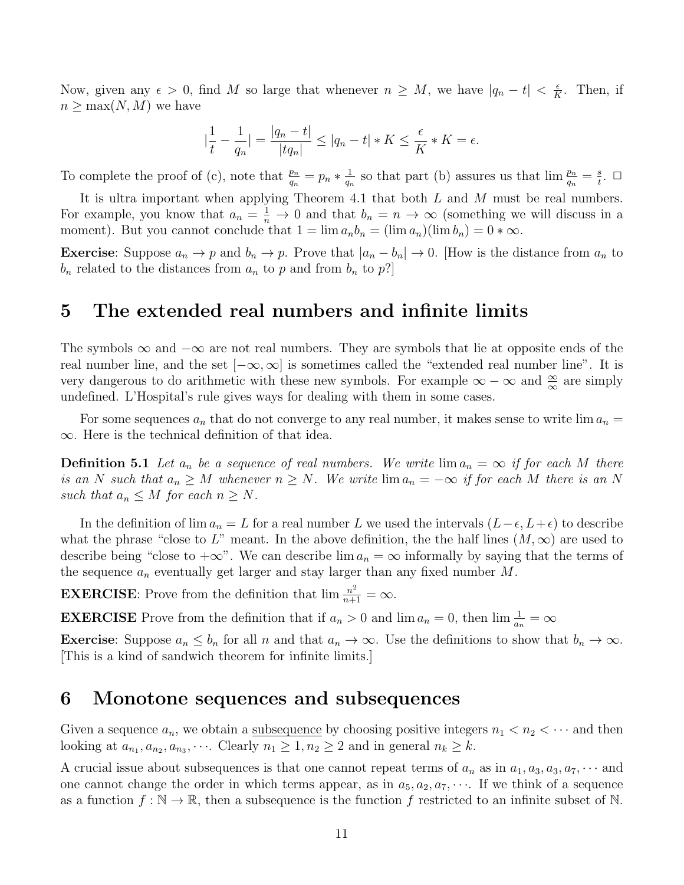Now, given any  $\epsilon > 0$ , find M so large that whenever  $n \geq M$ , we have  $|q_n - t| < \frac{\epsilon}{K}$  $\frac{\epsilon}{K}$ . Then, if  $n \geq \max(N, M)$  we have

$$
\left|\frac{1}{t} - \frac{1}{q_n}\right| = \frac{|q_n - t|}{|tq_n|} \le |q_n - t| * K \le \frac{\epsilon}{K} * K = \epsilon.
$$

To complete the proof of (c), note that  $\frac{p_n}{q_n} = p_n * \frac{1}{q_n}$  $\frac{1}{q_n}$  so that part (b) assures us that  $\lim \frac{p_n}{q_n} = \frac{s}{t}$  $\frac{s}{t}$ .  $\Box$ 

It is ultra important when applying Theorem 4.1 that both  $L$  and  $M$  must be real numbers. For example, you know that  $a_n = \frac{1}{n} \to 0$  and that  $b_n = n \to \infty$  (something we will discuss in a moment). But you cannot conclude that  $1 = \lim a_n b_n = (\lim a_n)(\lim b_n) = 0 * \infty$ .

**Exercise:** Suppose  $a_n \to p$  and  $b_n \to p$ . Prove that  $|a_n - b_n| \to 0$ . [How is the distance from  $a_n$  to  $b_n$  related to the distances from  $a_n$  to p and from  $b_n$  to p?

### 5 The extended real numbers and infinite limits

The symbols  $\infty$  and  $-\infty$  are not real numbers. They are symbols that lie at opposite ends of the real number line, and the set  $[-\infty, \infty]$  is sometimes called the "extended real number line". It is very dangerous to do arithmetic with these new symbols. For example  $\infty - \infty$  and  $\frac{\infty}{\infty}$  are simply undefined. L'Hospital's rule gives ways for dealing with them in some cases.

For some sequences  $a_n$  that do not converge to any real number, it makes sense to write  $\lim a_n =$ ∞. Here is the technical definition of that idea.

**Definition 5.1** Let  $a_n$  be a sequence of real numbers. We write  $\lim a_n = \infty$  if for each M there is an N such that  $a_n \geq M$  whenever  $n \geq N$ . We write  $\lim a_n = -\infty$  if for each M there is an N such that  $a_n \leq M$  for each  $n \geq N$ .

In the definition of lim  $a_n = L$  for a real number L we used the intervals  $(L-\epsilon, L+\epsilon)$  to describe what the phrase "close to L" meant. In the above definition, the the half lines  $(M, \infty)$  are used to describe being "close to  $+\infty$ ". We can describe  $\lim a_n = \infty$  informally by saying that the terms of the sequence  $a_n$  eventually get larger and stay larger than any fixed number M.

**EXERCISE**: Prove from the definition that  $\lim_{n+1} \frac{n^2}{n+1} = \infty$ .

**EXERCISE** Prove from the definition that if  $a_n > 0$  and  $\lim a_n = 0$ , then  $\lim \frac{1}{a_n} = \infty$ 

**Exercise**: Suppose  $a_n \leq b_n$  for all n and that  $a_n \to \infty$ . Use the definitions to show that  $b_n \to \infty$ . [This is a kind of sandwich theorem for infinite limits.]

### 6 Monotone sequences and subsequences

Given a sequence  $a_n$ , we obtain a <u>subsequence</u> by choosing positive integers  $n_1 < n_2 < \cdots$  and then looking at  $a_{n_1}, a_{n_2}, a_{n_3}, \cdots$ . Clearly  $n_1 \geq 1, n_2 \geq 2$  and in general  $n_k \geq k$ .

A crucial issue about subsequences is that one cannot repeat terms of  $a_n$  as in  $a_1, a_3, a_3, a_7, \cdots$  and one cannot change the order in which terms appear, as in  $a_5, a_2, a_7, \cdots$ . If we think of a sequence as a function  $f : \mathbb{N} \to \mathbb{R}$ , then a subsequence is the function f restricted to an infinite subset of N.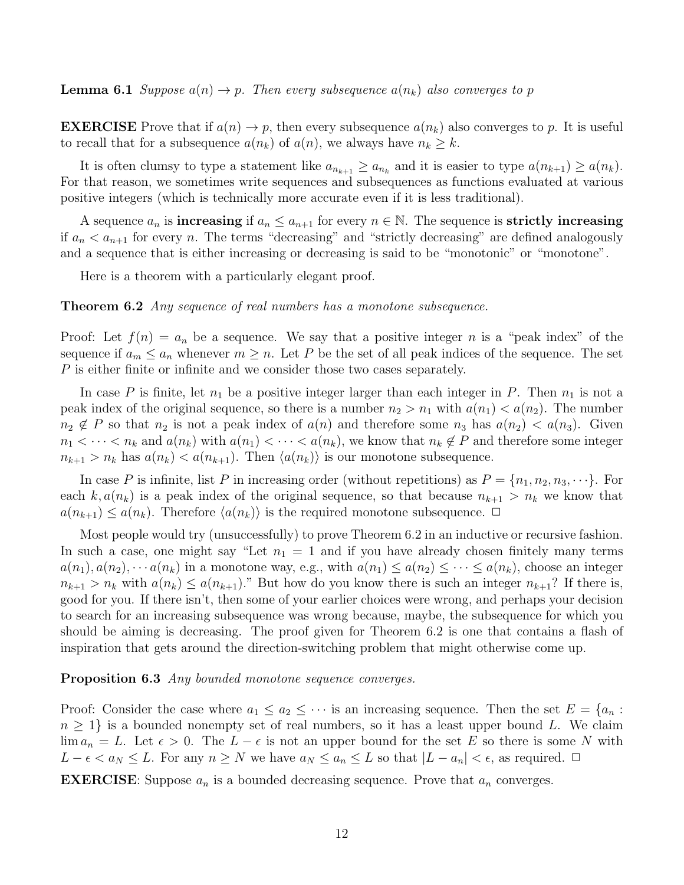**Lemma 6.1** Suppose  $a(n) \to p$ . Then every subsequence  $a(n_k)$  also converges to p

**EXERCISE** Prove that if  $a(n) \to p$ , then every subsequence  $a(n_k)$  also converges to p. It is useful to recall that for a subsequence  $a(n_k)$  of  $a(n)$ , we always have  $n_k \geq k$ .

It is often clumsy to type a statement like  $a_{n_{k+1}} \ge a_{n_k}$  and it is easier to type  $a(n_{k+1}) \ge a(n_k)$ . For that reason, we sometimes write sequences and subsequences as functions evaluated at various positive integers (which is technically more accurate even if it is less traditional).

A sequence  $a_n$  is **increasing** if  $a_n \le a_{n+1}$  for every  $n \in \mathbb{N}$ . The sequence is **strictly increasing** if  $a_n < a_{n+1}$  for every n. The terms "decreasing" and "strictly decreasing" are defined analogously and a sequence that is either increasing or decreasing is said to be "monotonic" or "monotone".

Here is a theorem with a particularly elegant proof.

**Theorem 6.2** Any sequence of real numbers has a monotone subsequence.

Proof: Let  $f(n) = a_n$  be a sequence. We say that a positive integer n is a "peak index" of the sequence if  $a_m \le a_n$  whenever  $m \ge n$ . Let P be the set of all peak indices of the sequence. The set P is either finite or infinite and we consider those two cases separately.

In case P is finite, let  $n_1$  be a positive integer larger than each integer in P. Then  $n_1$  is not a peak index of the original sequence, so there is a number  $n_2 > n_1$  with  $a(n_1) < a(n_2)$ . The number  $n_2 \notin P$  so that  $n_2$  is not a peak index of  $a(n)$  and therefore some  $n_3$  has  $a(n_2) < a(n_3)$ . Given  $n_1 < \cdots < n_k$  and  $a(n_k)$  with  $a(n_1) < \cdots < a(n_k)$ , we know that  $n_k \notin P$  and therefore some integer  $n_{k+1} > n_k$  has  $a(n_k) < a(n_{k+1})$ . Then  $\langle a(n_k) \rangle$  is our monotone subsequence.

In case P is infinite, list P in increasing order (without repetitions) as  $P = \{n_1, n_2, n_3, \dots\}$ . For each  $k, a(n_k)$  is a peak index of the original sequence, so that because  $n_{k+1} > n_k$  we know that  $a(n_{k+1}) \leq a(n_k)$ . Therefore  $\langle a(n_k) \rangle$  is the required monotone subsequence.  $\Box$ 

Most people would try (unsuccessfully) to prove Theorem 6.2 in an inductive or recursive fashion. In such a case, one might say "Let  $n_1 = 1$  and if you have already chosen finitely many terms  $a(n_1), a(n_2), \cdots a(n_k)$  in a monotone way, e.g., with  $a(n_1) \le a(n_2) \le \cdots \le a(n_k)$ , choose an integer  $n_{k+1} > n_k$  with  $a(n_k) \le a(n_{k+1})$ ." But how do you know there is such an integer  $n_{k+1}$ ? If there is, good for you. If there isn't, then some of your earlier choices were wrong, and perhaps your decision to search for an increasing subsequence was wrong because, maybe, the subsequence for which you should be aiming is decreasing. The proof given for Theorem 6.2 is one that contains a flash of inspiration that gets around the direction-switching problem that might otherwise come up.

#### Proposition 6.3 Any bounded monotone sequence converges.

Proof: Consider the case where  $a_1 \le a_2 \le \cdots$  is an increasing sequence. Then the set  $E = \{a_n :$  $n \geq 1$  is a bounded nonempty set of real numbers, so it has a least upper bound L. We claim  $\lim a_n = L$ . Let  $\epsilon > 0$ . The  $L - \epsilon$  is not an upper bound for the set E so there is some N with  $L - \epsilon < a_N \leq L$ . For any  $n \geq N$  we have  $a_N \leq a_n \leq L$  so that  $|L - a_n| < \epsilon$ , as required.  $\Box$ 

**EXERCISE:** Suppose  $a_n$  is a bounded decreasing sequence. Prove that  $a_n$  converges.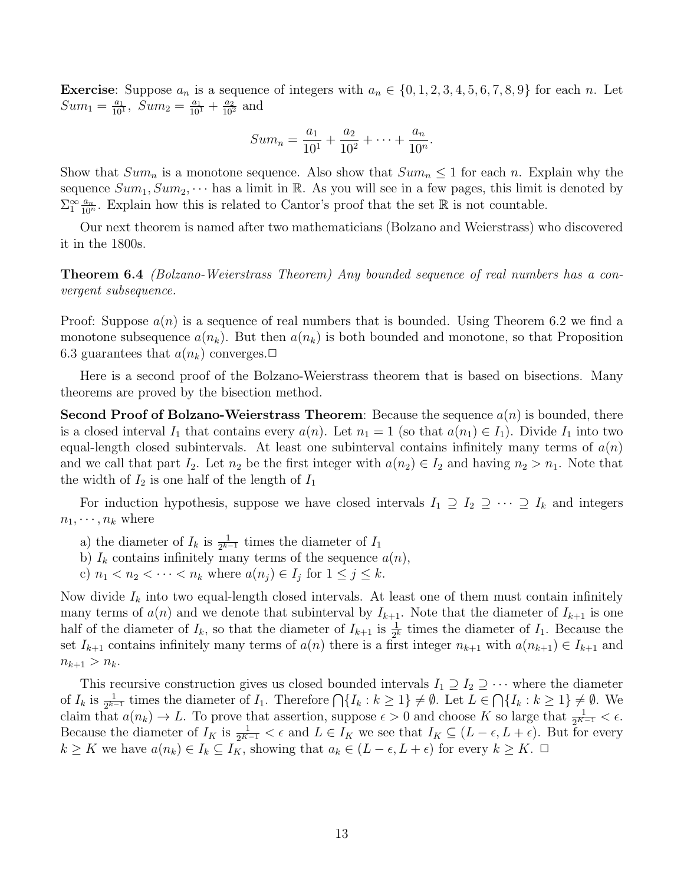**Exercise:** Suppose  $a_n$  is a sequence of integers with  $a_n \in \{0, 1, 2, 3, 4, 5, 6, 7, 8, 9\}$  for each n. Let  $Sum_1 = \frac{a_1}{10}$  $\frac{a_1}{10^1}$ ,  $Sum_2 = \frac{a_1}{10^1} + \frac{a_2}{10^2}$  and

$$
Sum_n = \frac{a_1}{10^1} + \frac{a_2}{10^2} + \dots + \frac{a_n}{10^n}.
$$

Show that  $Sum_n$  is a monotone sequence. Also show that  $Sum_n \leq 1$  for each n. Explain why the sequence  $Sum_1, Sum_2, \dots$  has a limit in R. As you will see in a few pages, this limit is denoted by  $\Sigma_1^{\infty} \frac{a_n}{10^n}$ . Explain how this is related to Cantor's proof that the set R is not countable.

Our next theorem is named after two mathematicians (Bolzano and Weierstrass) who discovered it in the 1800s.

Theorem 6.4 (Bolzano-Weierstrass Theorem) Any bounded sequence of real numbers has a convergent subsequence.

Proof: Suppose  $a(n)$  is a sequence of real numbers that is bounded. Using Theorem 6.2 we find a monotone subsequence  $a(n_k)$ . But then  $a(n_k)$  is both bounded and monotone, so that Proposition 6.3 guarantees that  $a(n_k)$  converges.  $\Box$ 

Here is a second proof of the Bolzano-Weierstrass theorem that is based on bisections. Many theorems are proved by the bisection method.

Second Proof of Bolzano-Weierstrass Theorem: Because the sequence  $a(n)$  is bounded, there is a closed interval  $I_1$  that contains every  $a(n)$ . Let  $n_1 = 1$  (so that  $a(n_1) \in I_1$ ). Divide  $I_1$  into two equal-length closed subintervals. At least one subinterval contains infinitely many terms of  $a(n)$ and we call that part  $I_2$ . Let  $n_2$  be the first integer with  $a(n_2) \in I_2$  and having  $n_2 > n_1$ . Note that the width of  $I_2$  is one half of the length of  $I_1$ 

For induction hypothesis, suppose we have closed intervals  $I_1 \supseteq I_2 \supseteq \cdots \supseteq I_k$  and integers  $n_1, \cdots, n_k$  where

- a) the diameter of  $I_k$  is  $\frac{1}{2^{k-1}}$  times the diameter of  $I_1$
- b)  $I_k$  contains infinitely many terms of the sequence  $a(n)$ ,
- c)  $n_1 < n_2 < \cdots < n_k$  where  $a(n_j) \in I_j$  for  $1 \leq j \leq k$ .

Now divide  $I_k$  into two equal-length closed intervals. At least one of them must contain infinitely many terms of  $a(n)$  and we denote that subinterval by  $I_{k+1}$ . Note that the diameter of  $I_{k+1}$  is one half of the diameter of  $I_k$ , so that the diameter of  $I_{k+1}$  is  $\frac{1}{2^k}$  times the diameter of  $I_1$ . Because the set  $I_{k+1}$  contains infinitely many terms of  $a(n)$  there is a first integer  $n_{k+1}$  with  $a(n_{k+1}) \in I_{k+1}$  and  $n_{k+1} > n_k$ .

This recursive construction gives us closed bounded intervals  $I_1 \supseteq I_2 \supseteq \cdots$  where the diameter of  $I_k$  is  $\frac{1}{2^{k-1}}$  times the diameter of  $I_1$ . Therefore  $\bigcap \{I_k : k \geq 1\} \neq \emptyset$ . Let  $L \in \bigcap \{I_k : k \geq 1\} \neq \emptyset$ . We claim that  $a(n_k) \to L$ . To prove that assertion, suppose  $\epsilon > 0$  and choose K so large that  $\frac{1}{2^{K-1}} < \epsilon$ . Because the diameter of  $I_K$  is  $\frac{1}{2^{K-1}} < \epsilon$  and  $L \in I_K$  we see that  $I_K \subseteq (L - \epsilon, L + \epsilon)$ . But for every  $k \geq K$  we have  $a(n_k) \in I_k \subseteq I_K$ , showing that  $a_k \in (L - \epsilon, L + \epsilon)$  for every  $k \geq K$ .  $\Box$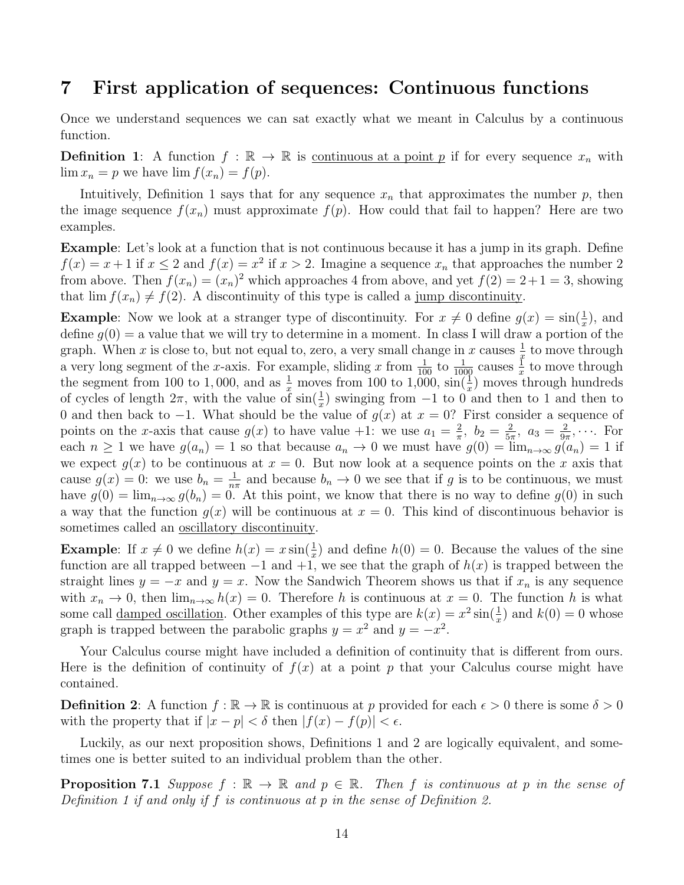### 7 First application of sequences: Continuous functions

Once we understand sequences we can sat exactly what we meant in Calculus by a continuous function.

**Definition 1:** A function  $f : \mathbb{R} \to \mathbb{R}$  is <u>continuous at a point p</u> if for every sequence  $x_n$  with  $\lim x_n = p$  we have  $\lim f(x_n) = f(p)$ .

Intuitively, Definition 1 says that for any sequence  $x_n$  that approximates the number p, then the image sequence  $f(x_n)$  must approximate  $f(p)$ . How could that fail to happen? Here are two examples.

Example: Let's look at a function that is not continuous because it has a jump in its graph. Define  $f(x) = x + 1$  if  $x \le 2$  and  $f(x) = x^2$  if  $x > 2$ . Imagine a sequence  $x_n$  that approaches the number 2 from above. Then  $f(x_n) = (x_n)^2$  which approaches 4 from above, and yet  $f(2) = 2 + 1 = 3$ , showing that  $\lim f(x_n) \neq f(2)$ . A discontinuity of this type is called a jump discontinuity.

**Example:** Now we look at a stranger type of discontinuity. For  $x \neq 0$  define  $g(x) = \sin(\frac{1}{x})$ , and define  $g(0) = a$  value that we will try to determine in a moment. In class I will draw a portion of the graph. When x is close to, but not equal to, zero, a very small change in x causes  $\frac{1}{x}$  to move through a very long segment of the x-axis. For example, sliding x from  $\frac{1}{100}$  to  $\frac{1}{1000}$  causes  $\frac{1}{x}$  to move through the segment from 100 to 1,000, and as  $\frac{1}{x}$  moves from 100 to 1,000,  $\sin(\frac{1}{x})$  moves through hundreds of cycles of length  $2\pi$ , with the value of  $\sin(\frac{1}{x})$  swinging from  $-1$  to  $0$  and then to 1 and then to 0 and then back to -1. What should be the value of  $g(x)$  at  $x = 0$ ? First consider a sequence of points on the x-axis that cause  $g(x)$  to have value  $+1$ : we use  $a_1 = \frac{2}{\pi}$  $\frac{2}{\pi}$ ,  $b_2 = \frac{2}{5\pi}$  $\frac{2}{5\pi}$ ,  $a_3 = \frac{2}{9\pi}$  $\frac{2}{9\pi}, \cdots$  For each  $n \geq 1$  we have  $g(a_n) = 1$  so that because  $a_n \to 0$  we must have  $g(0) = \lim_{n \to \infty} g(a_n) = 1$  if we expect  $g(x)$  to be continuous at  $x = 0$ . But now look at a sequence points on the x axis that cause  $g(x) = 0$ : we use  $b_n = \frac{1}{n^2}$  $\frac{1}{n\pi}$  and because  $b_n \to 0$  we see that if g is to be continuous, we must have  $g(0) = \lim_{n\to\infty} g(b_n) = 0$ . At this point, we know that there is no way to define  $g(0)$  in such a way that the function  $q(x)$  will be continuous at  $x = 0$ . This kind of discontinuous behavior is sometimes called an oscillatory discontinuity.

**Example:** If  $x \neq 0$  we define  $h(x) = x \sin(\frac{1}{x})$  and define  $h(0) = 0$ . Because the values of the sine function are all trapped between  $-1$  and  $+1$ , we see that the graph of  $h(x)$  is trapped between the straight lines  $y = -x$  and  $y = x$ . Now the Sandwich Theorem shows us that if  $x_n$  is any sequence with  $x_n \to 0$ , then  $\lim_{n\to\infty} h(x) = 0$ . Therefore h is continuous at  $x = 0$ . The function h is what some call <u>damped oscillation</u>. Other examples of this type are  $k(x) = x^2 \sin(\frac{1}{x})$  and  $k(0) = 0$  whose graph is trapped between the parabolic graphs  $y = x^2$  and  $y = -x^2$ .

Your Calculus course might have included a definition of continuity that is different from ours. Here is the definition of continuity of  $f(x)$  at a point p that your Calculus course might have contained.

**Definition 2:** A function  $f : \mathbb{R} \to \mathbb{R}$  is continuous at p provided for each  $\epsilon > 0$  there is some  $\delta > 0$ with the property that if  $|x - p| < \delta$  then  $|f(x) - f(p)| < \epsilon$ .

Luckily, as our next proposition shows, Definitions 1 and 2 are logically equivalent, and sometimes one is better suited to an individual problem than the other.

**Proposition 7.1** Suppose  $f : \mathbb{R} \to \mathbb{R}$  and  $p \in \mathbb{R}$ . Then f is continuous at p in the sense of Definition 1 if and only if  $f$  is continuous at  $p$  in the sense of Definition 2.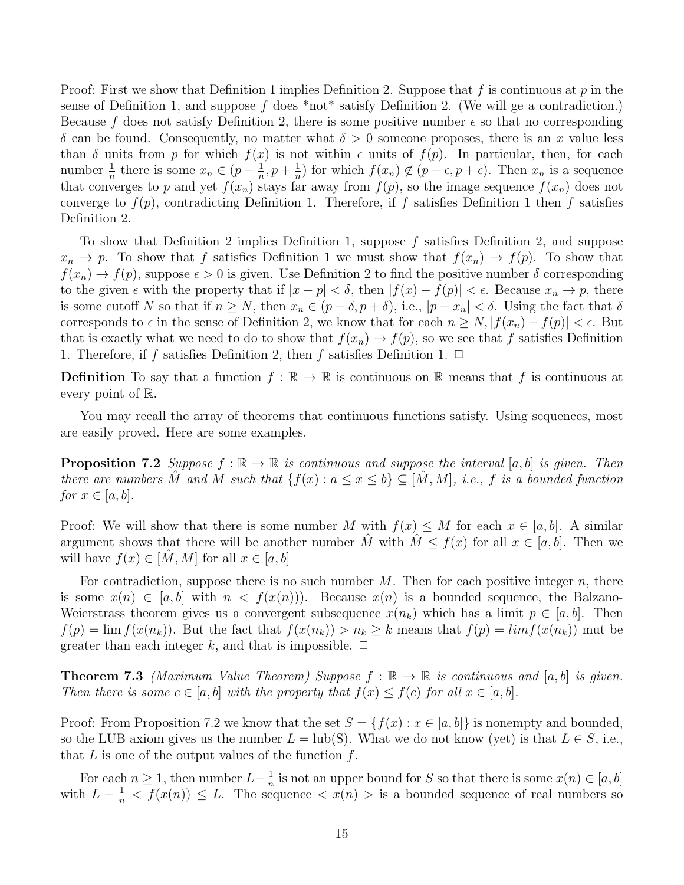Proof: First we show that Definition 1 implies Definition 2. Suppose that f is continuous at p in the sense of Definition 1, and suppose f does \*not\* satisfy Definition 2. (We will ge a contradiction.) Because f does not satisfy Definition 2, there is some positive number  $\epsilon$  so that no corresponding  $\delta$  can be found. Consequently, no matter what  $\delta > 0$  someone proposes, there is an x value less than  $\delta$  units from p for which  $f(x)$  is not within  $\epsilon$  units of  $f(p)$ . In particular, then, for each number  $\frac{1}{n}$  there is some  $x_n \in (p - \frac{1}{n})$  $\frac{1}{n}, p + \frac{1}{n}$  $\frac{1}{n}$ ) for which  $f(x_n) \notin (p - \epsilon, p + \epsilon)$ . Then  $x_n$  is a sequence that converges to p and yet  $f(x_n)$  stays far away from  $f(p)$ , so the image sequence  $f(x_n)$  does not converge to  $f(p)$ , contradicting Definition 1. Therefore, if f satisfies Definition 1 then f satisfies Definition 2.

To show that Definition 2 implies Definition 1, suppose f satisfies Definition 2, and suppose  $x_n \to p$ . To show that f satisfies Definition 1 we must show that  $f(x_n) \to f(p)$ . To show that  $f(x_n) \to f(p)$ , suppose  $\epsilon > 0$  is given. Use Definition 2 to find the positive number  $\delta$  corresponding to the given  $\epsilon$  with the property that if  $|x - p| < \delta$ , then  $|f(x) - f(p)| < \epsilon$ . Because  $x_n \to p$ , there is some cutoff N so that if  $n \geq N$ , then  $x_n \in (p - \delta, p + \delta)$ , i.e.,  $|p - x_n| < \delta$ . Using the fact that  $\delta$ corresponds to  $\epsilon$  in the sense of Definition 2, we know that for each  $n \ge N, |f(x_n) - f(p)| < \epsilon$ . But that is exactly what we need to do to show that  $f(x_n) \to f(p)$ , so we see that f satisfies Definition 1. Therefore, if f satisfies Definition 2, then f satisfies Definition 1.  $\Box$ 

**Definition** To say that a function  $f : \mathbb{R} \to \mathbb{R}$  is continuous on R means that f is continuous at every point of R.

You may recall the array of theorems that continuous functions satisfy. Using sequences, most are easily proved. Here are some examples.

**Proposition 7.2** Suppose  $f : \mathbb{R} \to \mathbb{R}$  is continuous and suppose the interval  $[a, b]$  is given. Then there are numbers M and M such that  $\{f(x): a \leq x \leq b\} \subseteq [M, M]$ , i.e., f is a bounded function for  $x \in [a, b]$ .

Proof: We will show that there is some number M with  $f(x) \leq M$  for each  $x \in [a, b]$ . A similar argument shows that there will be another number M<sup>n</sup> with  $M \leq f(x)$  for all  $x \in [a, b]$ . Then we will have  $f(x) \in [M, M]$  for all  $x \in [a, b]$ 

For contradiction, suppose there is no such number  $M$ . Then for each positive integer  $n$ , there is some  $x(n) \in [a, b]$  with  $n < f(x(n))$ . Because  $x(n)$  is a bounded sequence, the Balzano-Weierstrass theorem gives us a convergent subsequence  $x(n_k)$  which has a limit  $p \in [a, b]$ . Then  $f(p) = \lim f(x(n_k))$ . But the fact that  $f(x(n_k)) > n_k \geq k$  means that  $f(p) = \lim f(x(n_k))$  mut be greater than each integer k, and that is impossible.  $\Box$ 

**Theorem 7.3** (Maximum Value Theorem) Suppose  $f : \mathbb{R} \to \mathbb{R}$  is continuous and [a, b] is given. Then there is some  $c \in [a, b]$  with the property that  $f(x) \leq f(c)$  for all  $x \in [a, b]$ .

Proof: From Proposition 7.2 we know that the set  $S = \{f(x) : x \in [a, b]\}$  is nonempty and bounded, so the LUB axiom gives us the number  $L = \text{lub}(S)$ . What we do not know (yet) is that  $L \in S$ , i.e., that  $L$  is one of the output values of the function  $f$ .

For each  $n \geq 1$ , then number  $L-\frac{1}{n}$  $\frac{1}{n}$  is not an upper bound for S so that there is some  $x(n) \in [a, b]$ with  $L - \frac{1}{n} < f(x(n)) \leq L$ . The sequence  $\langle x(n) \rangle$  is a bounded sequence of real numbers so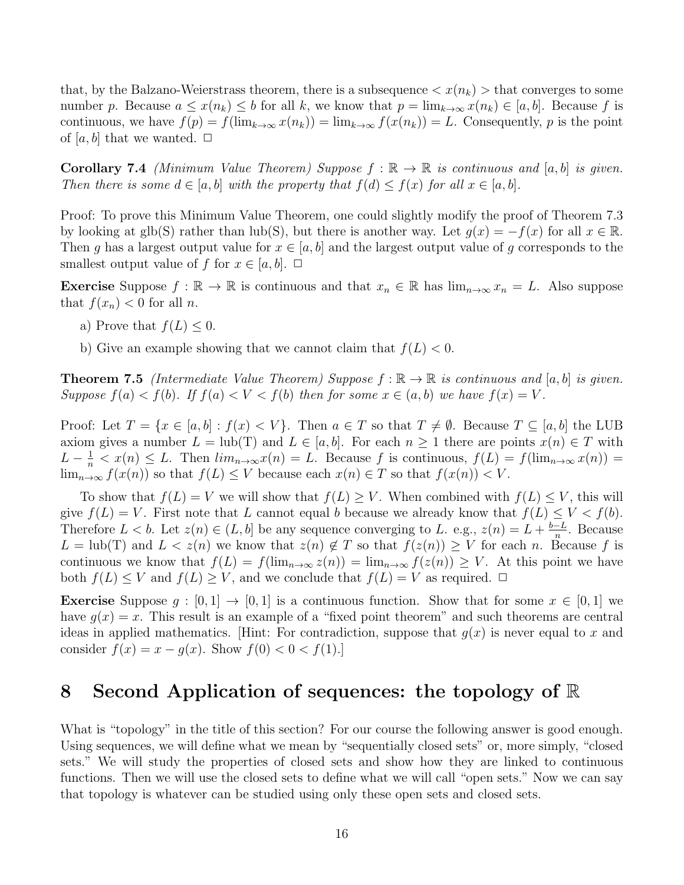that, by the Balzano-Weierstrass theorem, there is a subsequence  $\langle x(n_k)\rangle$  that converges to some number p. Because  $a \leq x(n_k) \leq b$  for all k, we know that  $p = \lim_{k \to \infty} x(n_k) \in [a, b]$ . Because f is continuous, we have  $f(p) = f(\lim_{k\to\infty} x(n_k)) = \lim_{k\to\infty} f(x(n_k)) = L$ . Consequently, p is the point of  $[a, b]$  that we wanted.  $\Box$ 

**Corollary 7.4** (Minimum Value Theorem) Suppose  $f : \mathbb{R} \to \mathbb{R}$  is continuous and [a, b] is given. Then there is some  $d \in [a, b]$  with the property that  $f(d) \leq f(x)$  for all  $x \in [a, b]$ .

Proof: To prove this Minimum Value Theorem, one could slightly modify the proof of Theorem 7.3 by looking at glb(S) rather than lub(S), but there is another way. Let  $q(x) = -f(x)$  for all  $x \in \mathbb{R}$ . Then g has a largest output value for  $x \in [a, b]$  and the largest output value of g corresponds to the smallest output value of f for  $x \in [a, b]$ .  $\Box$ 

**Exercise** Suppose  $f : \mathbb{R} \to \mathbb{R}$  is continuous and that  $x_n \in \mathbb{R}$  has  $\lim_{n \to \infty} x_n = L$ . Also suppose that  $f(x_n) < 0$  for all n.

- a) Prove that  $f(L) \leq 0$ .
- b) Give an example showing that we cannot claim that  $f(L) < 0$ .

**Theorem 7.5** (Intermediate Value Theorem) Suppose  $f : \mathbb{R} \to \mathbb{R}$  is continuous and [a, b] is given. Suppose  $f(a) < f(b)$ . If  $f(a) < V < f(b)$  then for some  $x \in (a, b)$  we have  $f(x) = V$ .

Proof: Let  $T = \{x \in [a, b] : f(x) < V\}$ . Then  $a \in T$  so that  $T \neq \emptyset$ . Because  $T \subseteq [a, b]$  the LUB axiom gives a number  $L = \text{lub}(T)$  and  $L \in [a, b]$ . For each  $n \ge 1$  there are points  $x(n) \in T$  with  $L - \frac{1}{n} < x(n) \leq L$ . Then  $\lim_{n \to \infty} x(n) = L$ . Because f is continuous,  $f(L) = f(\lim_{n \to \infty} x(n)) =$  $\lim_{n\to\infty} f(x(n))$  so that  $f(L) \leq V$  because each  $x(n) \in T$  so that  $f(x(n)) < V$ .

To show that  $f(L) = V$  we will show that  $f(L) \geq V$ . When combined with  $f(L) \leq V$ , this will give  $f(L) = V$ . First note that L cannot equal b because we already know that  $f(L) \leq V < f(b)$ . Therefore  $L < b$ . Let  $z(n) \in (L, b]$  be any sequence converging to L. e.g.,  $z(n) = L + \frac{b-L}{n}$  $\frac{-L}{n}$ . Because  $L = \text{lub}(T)$  and  $L < z(n)$  we know that  $z(n) \notin T$  so that  $f(z(n)) \geq V$  for each n. Because f is continuous we know that  $f(L) = f(\lim_{n\to\infty} z(n)) = \lim_{n\to\infty} f(z(n)) \geq V$ . At this point we have both  $f(L) \leq V$  and  $f(L) \geq V$ , and we conclude that  $f(L) = V$  as required.  $\Box$ 

**Exercise** Suppose  $g : [0,1] \rightarrow [0,1]$  is a continuous function. Show that for some  $x \in [0,1]$  we have  $g(x) = x$ . This result is an example of a "fixed point theorem" and such theorems are central ideas in applied mathematics. [Hint: For contradiction, suppose that  $g(x)$  is never equal to x and consider  $f(x) = x - g(x)$ . Show  $f(0) < 0 < f(1)$ .

### 8 Second Application of sequences: the topology of R

What is "topology" in the title of this section? For our course the following answer is good enough. Using sequences, we will define what we mean by "sequentially closed sets" or, more simply, "closed sets." We will study the properties of closed sets and show how they are linked to continuous functions. Then we will use the closed sets to define what we will call "open sets." Now we can say that topology is whatever can be studied using only these open sets and closed sets.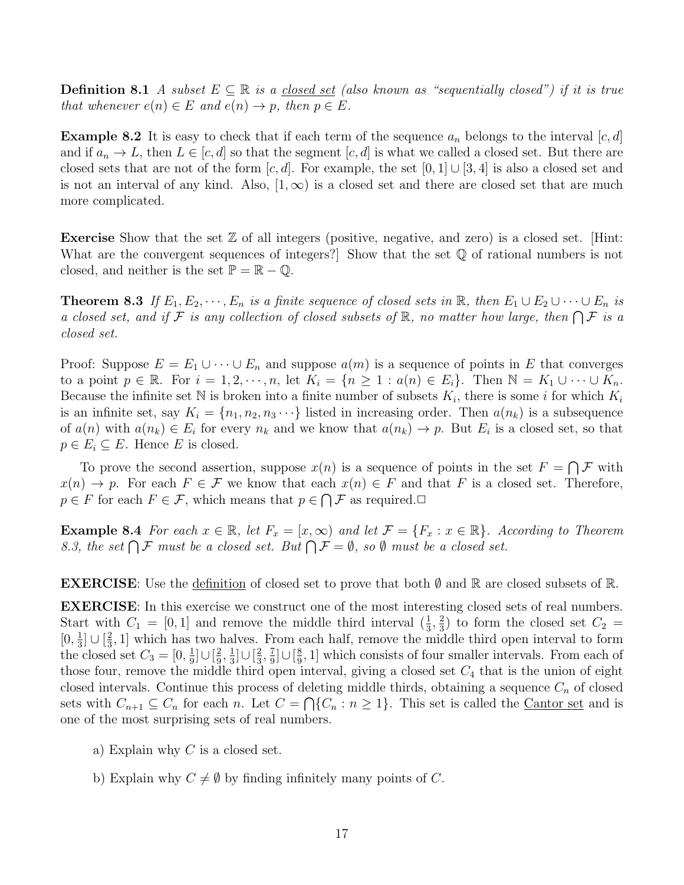**Definition 8.1** A subset  $E \subseteq \mathbb{R}$  is a closed set (also known as "sequentially closed") if it is true that whenever  $e(n) \in E$  and  $e(n) \to p$ , then  $p \in E$ .

**Example 8.2** It is easy to check that if each term of the sequence  $a_n$  belongs to the interval  $[c, d]$ and if  $a_n \to L$ , then  $L \in [c, d]$  so that the segment  $[c, d]$  is what we called a closed set. But there are closed sets that are not of the form  $[c, d]$ . For example, the set  $[0, 1] \cup [3, 4]$  is also a closed set and is not an interval of any kind. Also,  $[1,\infty)$  is a closed set and there are closed set that are much more complicated.

**Exercise** Show that the set  $\mathbb{Z}$  of all integers (positive, negative, and zero) is a closed set. [Hint: What are the convergent sequences of integers? Show that the set  $\mathbb Q$  of rational numbers is not closed, and neither is the set  $\mathbb{P} = \mathbb{R} - \mathbb{Q}$ .

**Theorem 8.3** If  $E_1, E_2, \dots, E_n$  is a finite sequence of closed sets in  $\mathbb{R}$ , then  $E_1 \cup E_2 \cup \dots \cup E_n$  is a closed set, and if F is any collection of closed subsets of R, no matter how large, then  $\bigcap \mathcal{F}$  is a closed set.

Proof: Suppose  $E = E_1 \cup \cdots \cup E_n$  and suppose  $a(m)$  is a sequence of points in E that converges to a point  $p \in \mathbb{R}$ . For  $i = 1, 2, \dots, n$ , let  $K_i = \{n \geq 1 : a(n) \in E_i\}$ . Then  $\mathbb{N} = K_1 \cup \dots \cup K_n$ . Because the infinite set N is broken into a finite number of subsets  $K_i$ , there is some i for which  $K_i$ is an infinite set, say  $K_i = \{n_1, n_2, n_3 \cdots\}$  listed in increasing order. Then  $a(n_k)$  is a subsequence of  $a(n)$  with  $a(n_k) \in E_i$  for every  $n_k$  and we know that  $a(n_k) \to p$ . But  $E_i$  is a closed set, so that  $p \in E_i \subseteq E$ . Hence E is closed.

To prove the second assertion, suppose  $x(n)$  is a sequence of points in the set  $F = \bigcap \mathcal{F}$  with  $x(n) \to p$ . For each  $F \in \mathcal{F}$  we know that each  $x(n) \in F$  and that F is a closed set. Therefore,  $p \in F$  for each  $F \in \mathcal{F}$ , which means that  $p \in \bigcap \mathcal{F}$  as required.

**Example 8.4** For each  $x \in \mathbb{R}$ , let  $F_x = [x, \infty)$  and let  $\mathcal{F} = \{F_x : x \in \mathbb{R}\}\$ . According to Theorem 8.3, the set  $\bigcap \mathcal{F}$  must be a closed set. But  $\bigcap \mathcal{F} = \emptyset$ , so  $\emptyset$  must be a closed set.

**EXERCISE:** Use the definition of closed set to prove that both  $\emptyset$  and  $\mathbb{R}$  are closed subsets of  $\mathbb{R}$ .

EXERCISE: In this exercise we construct one of the most interesting closed sets of real numbers. Start with  $C_1 = [0, 1]$  and remove the middle third interval  $(\frac{1}{3}, \frac{2}{3})$  $\frac{2}{3}$ ) to form the closed set  $C_2$  =  $[0, \frac{1}{3}]$  $\frac{1}{3}$ ]  $\cup$   $\left[\frac{2}{3}\right]$  $\frac{2}{3}$ , 1] which has two halves. From each half, remove the middle third open interval to form the closed set  $C_3 = [0, \frac{1}{9}]$  $\frac{1}{9}$ ] $\cup$   $\left[\frac{2}{9}\right]$  $\frac{2}{9}, \frac{1}{3}$  $\frac{1}{3}$ ] $\cup$   $\left[\frac{2}{3}\right]$  $\frac{2}{3}, \frac{7}{9}$  $\frac{7}{9}$ ]∪[ $\frac{8}{9}$  $\frac{8}{9}$ , 1] which consists of four smaller intervals. From each of those four, remove the middle third open interval, giving a closed set  $C_4$  that is the union of eight closed intervals. Continue this process of deleting middle thirds, obtaining a sequence  $C_n$  of closed sets with  $C_{n+1} \subseteq C_n$  for each n. Let  $C = \bigcap \{C_n : n \geq 1\}$ . This set is called the Cantor set and is one of the most surprising sets of real numbers.

- a) Explain why  $C$  is a closed set.
- b) Explain why  $C \neq \emptyset$  by finding infinitely many points of C.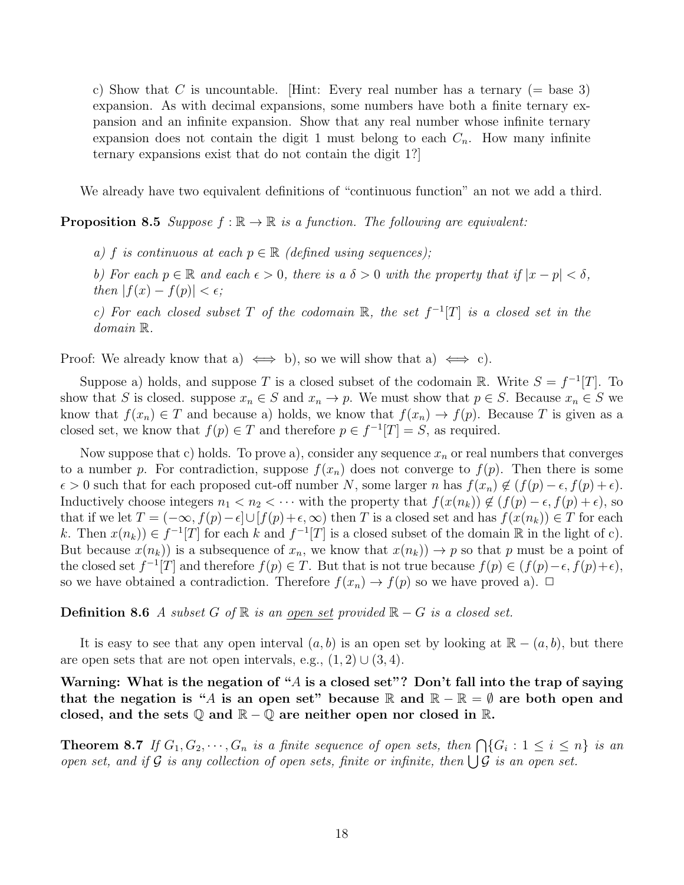c) Show that C is uncountable. [Hint: Every real number has a ternary  $(=$  base 3) expansion. As with decimal expansions, some numbers have both a finite ternary expansion and an infinite expansion. Show that any real number whose infinite ternary expansion does not contain the digit 1 must belong to each  $C_n$ . How many infinite ternary expansions exist that do not contain the digit 1?]

We already have two equivalent definitions of "continuous function" an not we add a third.

**Proposition 8.5** Suppose  $f : \mathbb{R} \to \mathbb{R}$  is a function. The following are equivalent:

a) f is continuous at each  $p \in \mathbb{R}$  (defined using sequences);

b) For each  $p \in \mathbb{R}$  and each  $\epsilon > 0$ , there is a  $\delta > 0$  with the property that if  $|x - p| < \delta$ , then  $|f(x) - f(p)| < \epsilon$ ;

c) For each closed subset T of the codomain  $\mathbb{R}$ , the set  $f^{-1}[T]$  is a closed set in the domain R.

Proof: We already know that a)  $\iff$  b), so we will show that a)  $\iff$  c).

Suppose a) holds, and suppose T is a closed subset of the codomain R. Write  $S = f^{-1}[T]$ . To show that S is closed. suppose  $x_n \in S$  and  $x_n \to p$ . We must show that  $p \in S$ . Because  $x_n \in S$  we know that  $f(x_n) \in T$  and because a) holds, we know that  $f(x_n) \to f(p)$ . Because T is given as a closed set, we know that  $f(p) \in T$  and therefore  $p \in f^{-1}[T] = S$ , as required.

Now suppose that c) holds. To prove a), consider any sequence  $x_n$  or real numbers that converges to a number p. For contradiction, suppose  $f(x_n)$  does not converge to  $f(p)$ . Then there is some  $\epsilon > 0$  such that for each proposed cut-off number N, some larger n has  $f(x_n) \notin (f(p) - \epsilon, f(p) + \epsilon)$ . Inductively choose integers  $n_1 < n_2 < \cdots$  with the property that  $f(x(n_k)) \notin (f(p) - \epsilon, f(p) + \epsilon)$ , so that if we let  $T = (-\infty, f(p)-\epsilon] \cup [f(p)+\epsilon, \infty)$  then T is a closed set and has  $f(x(n_k)) \in T$  for each k. Then  $x(n_k)$   $\in f^{-1}[T]$  for each k and  $f^{-1}[T]$  is a closed subset of the domain  $\mathbb R$  in the light of c). But because  $x(n_k)$  is a subsequence of  $x_n$ , we know that  $x(n_k)$   $\rightarrow$  p so that p must be a point of the closed set  $f^{-1}[T]$  and therefore  $f(p) \in T$ . But that is not true because  $f(p) \in (f(p)-\epsilon, f(p)+\epsilon)$ , so we have obtained a contradiction. Therefore  $f(x_n) \to f(p)$  so we have proved a).  $\Box$ 

**Definition 8.6** A subset G of ℝ is an open set provided ℝ – G is a closed set.

It is easy to see that any open interval  $(a, b)$  is an open set by looking at  $\mathbb{R} - (a, b)$ , but there are open sets that are not open intervals, e.g.,  $(1, 2) \cup (3, 4)$ .

Warning: What is the negation of "A is a closed set"? Don't fall into the trap of saying that the negation is "A is an open set" because R and  $\mathbb{R} - \mathbb{R} = \emptyset$  are both open and closed, and the sets  $\mathbb{Q}$  and  $\mathbb{R} - \mathbb{Q}$  are neither open nor closed in  $\mathbb{R}$ .

**Theorem 8.7** If  $G_1, G_2, \dots, G_n$  is a finite sequence of open sets, then  $\bigcap \{G_i : 1 \leq i \leq n\}$  is an open set, and if G is any collection of open sets, finite or infinite, then  $\bigcup \mathcal{G}$  is an open set.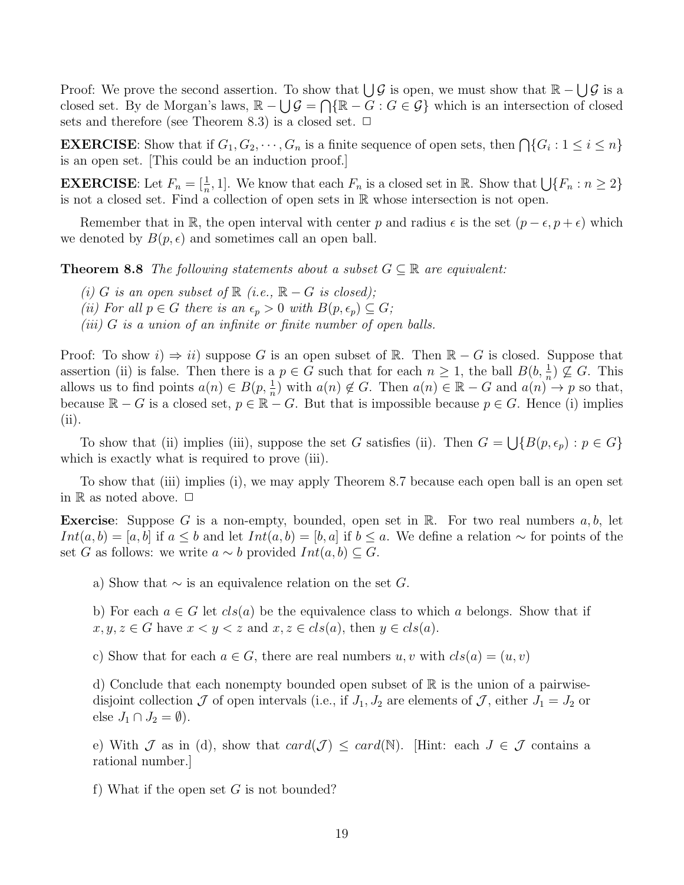Proof: We prove the second assertion. To show that  $\bigcup \mathcal{G}$  is open, we must show that  $\mathbb{R} - \bigcup \mathcal{G}$  is a closed set. By de Morgan's laws,  $\mathbb{R} - \bigcup \mathcal{G} = \bigcap \{\mathbb{R} - G : G \in \mathcal{G}\}\$  which is an intersection of closed sets and therefore (see Theorem 8.3) is a closed set.  $\Box$ 

**EXERCISE**: Show that if  $G_1, G_2, \dots, G_n$  is a finite sequence of open sets, then  $\bigcap \{G_i : 1 \leq i \leq n\}$ is an open set. [This could be an induction proof.]

**EXERCISE:** Let  $F_n = [\frac{1}{n}, 1]$ . We know that each  $F_n$  is a closed set in  $\mathbb{R}$ . Show that  $\bigcup \{F_n : n \geq 2\}$ is not a closed set. Find a collection of open sets in R whose intersection is not open.

Remember that in R, the open interval with center p and radius  $\epsilon$  is the set  $(p - \epsilon, p + \epsilon)$  which we denoted by  $B(p, \epsilon)$  and sometimes call an open ball.

**Theorem 8.8** The following statements about a subset  $G \subseteq \mathbb{R}$  are equivalent:

- (i) G is an open subset of  $\mathbb R$  (i.e.,  $\mathbb R G$  is closed);
- (ii) For all  $p \in G$  there is an  $\epsilon_p > 0$  with  $B(p, \epsilon_p) \subseteq G$ ;
- (iii)  $G$  is a union of an infinite or finite number of open balls.

Proof: To show  $i \Rightarrow ii$ ) suppose G is an open subset of R. Then  $\mathbb{R} - G$  is closed. Suppose that assertion (ii) is false. Then there is a  $p \in G$  such that for each  $n \geq 1$ , the ball  $B(b, \frac{1}{n}) \nsubseteq G$ . This allows us to find points  $a(n) \in B(p, \frac{1}{n})$  with  $a(n) \notin G$ . Then  $a(n) \in \mathbb{R} - G$  and  $a(n) \to p$  so that, because  $\mathbb{R} - G$  is a closed set,  $p \in \mathbb{R} - G$ . But that is impossible because  $p \in G$ . Hence (i) implies (ii).

To show that (ii) implies (iii), suppose the set G satisfies (ii). Then  $G = \bigcup \{B(p, \epsilon_p) : p \in G\}$ which is exactly what is required to prove (iii).

To show that (iii) implies (i), we may apply Theorem 8.7 because each open ball is an open set in  $\mathbb R$  as noted above.  $\Box$ 

**Exercise:** Suppose G is a non-empty, bounded, open set in  $\mathbb{R}$ . For two real numbers  $a, b$ , let *Int*(*a*, *b*) = [*a*, *b*] if *a* ≤ *b* and let *Int*(*a*, *b*) = [*b*, *a*] if *b* ≤ *a*. We define a relation ∼ for points of the set G as follows: we write  $a \sim b$  provided  $Int(a, b) \subseteq G$ .

a) Show that  $\sim$  is an equivalence relation on the set G.

b) For each  $a \in G$  let  $cls(a)$  be the equivalence class to which a belongs. Show that if  $x, y, z \in G$  have  $x < y < z$  and  $x, z \in cls(a)$ , then  $y \in cls(a)$ .

c) Show that for each  $a \in G$ , there are real numbers  $u, v$  with  $cls(a) = (u, v)$ 

d) Conclude that each nonempty bounded open subset of  $\mathbb R$  is the union of a pairwisedisjoint collection  $\mathcal J$  of open intervals (i.e., if  $J_1, J_2$  are elements of  $\mathcal J$ , either  $J_1 = J_2$  or else  $J_1 \cap J_2 = \emptyset$ ).

e) With J as in (d), show that  $card(\mathcal{J}) \leq card(\mathbb{N})$ . [Hint: each  $J \in \mathcal{J}$  contains a rational number.]

f) What if the open set  $G$  is not bounded?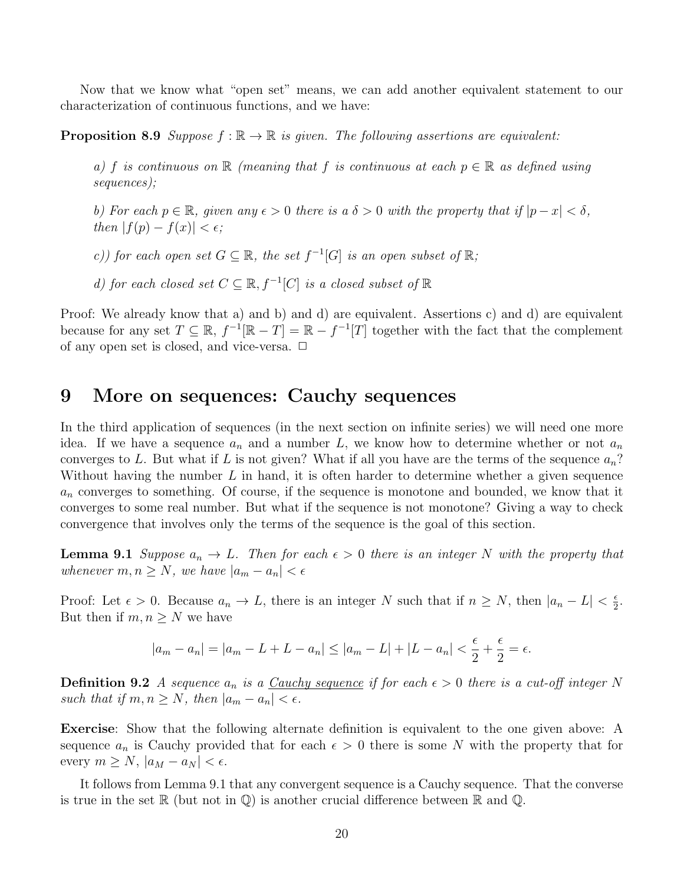Now that we know what "open set" means, we can add another equivalent statement to our characterization of continuous functions, and we have:

**Proposition 8.9** Suppose  $f : \mathbb{R} \to \mathbb{R}$  is given. The following assertions are equivalent:

a) f is continuous on R (meaning that f is continuous at each  $p \in \mathbb{R}$  as defined using sequences);

b) For each  $p \in \mathbb{R}$ , given any  $\epsilon > 0$  there is a  $\delta > 0$  with the property that if  $|p - x| < \delta$ , then  $|f(p) - f(x)| < \epsilon$ ;

c)) for each open set  $G \subseteq \mathbb{R}$ , the set  $f^{-1}[G]$  is an open subset of  $\mathbb{R}$ ;

d) for each closed set  $C \subseteq \mathbb{R}$ ,  $f^{-1}[C]$  is a closed subset of  $\mathbb{R}$ 

Proof: We already know that a) and b) and d) are equivalent. Assertions c) and d) are equivalent because for any set  $T \subseteq \mathbb{R}$ ,  $f^{-1}[\mathbb{R} - T] = \mathbb{R} - f^{-1}[T]$  together with the fact that the complement of any open set is closed, and vice-versa.  $\Box$ 

## 9 More on sequences: Cauchy sequences

In the third application of sequences (in the next section on infinite series) we will need one more idea. If we have a sequence  $a_n$  and a number L, we know how to determine whether or not  $a_n$ converges to L. But what if L is not given? What if all you have are the terms of the sequence  $a_n$ ? Without having the number  $L$  in hand, it is often harder to determine whether a given sequence  $a_n$  converges to something. Of course, if the sequence is monotone and bounded, we know that it converges to some real number. But what if the sequence is not monotone? Giving a way to check convergence that involves only the terms of the sequence is the goal of this section.

**Lemma 9.1** Suppose  $a_n \to L$ . Then for each  $\epsilon > 0$  there is an integer N with the property that whenever  $m, n \geq N$ , we have  $|a_m - a_n| < \epsilon$ 

Proof: Let  $\epsilon > 0$ . Because  $a_n \to L$ , there is an integer N such that if  $n \ge N$ , then  $|a_n - L| < \frac{\epsilon}{2}$  $\frac{\epsilon}{2}$ . But then if  $m, n \geq N$  we have

$$
|a_m - a_n| = |a_m - L + L - a_n| \le |a_m - L| + |L - a_n| < \frac{\epsilon}{2} + \frac{\epsilon}{2} = \epsilon.
$$

**Definition 9.2** A sequence  $a_n$  is a Cauchy sequence if for each  $\epsilon > 0$  there is a cut-off integer N such that if  $m, n \geq N$ , then  $|a_m - a_n| < \epsilon$ .

Exercise: Show that the following alternate definition is equivalent to the one given above: A sequence  $a_n$  is Cauchy provided that for each  $\epsilon > 0$  there is some N with the property that for every  $m \ge N$ ,  $|a_M - a_N| < \epsilon$ .

It follows from Lemma 9.1 that any convergent sequence is a Cauchy sequence. That the converse is true in the set  $\mathbb R$  (but not in  $\mathbb Q$ ) is another crucial difference between  $\mathbb R$  and  $\mathbb Q$ .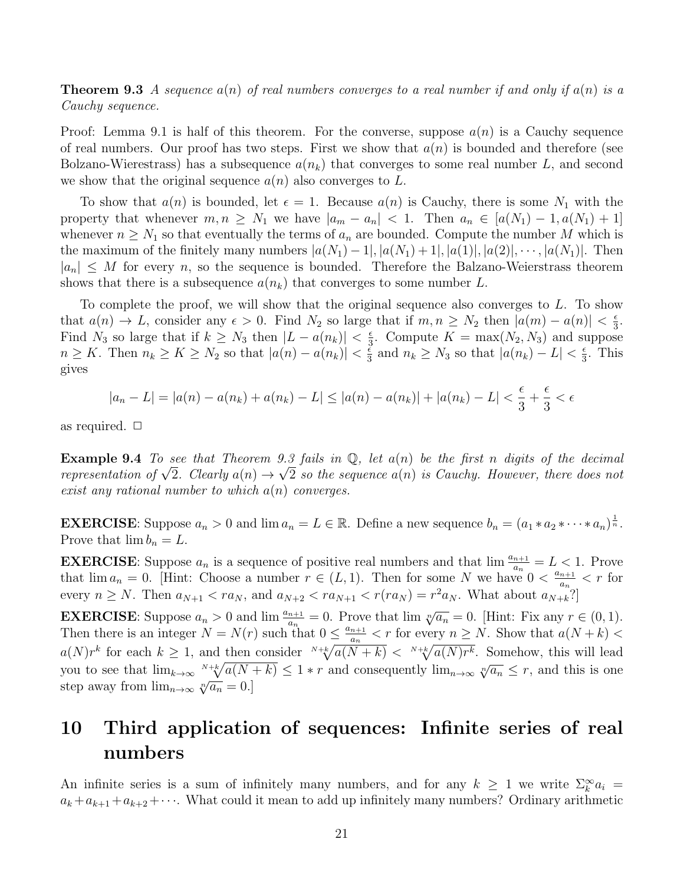**Theorem 9.3** A sequence  $a(n)$  of real numbers converges to a real number if and only if  $a(n)$  is a Cauchy sequence.

Proof: Lemma 9.1 is half of this theorem. For the converse, suppose  $a(n)$  is a Cauchy sequence of real numbers. Our proof has two steps. First we show that  $a(n)$  is bounded and therefore (see Bolzano-Wierestrass) has a subsequence  $a(n_k)$  that converges to some real number L, and second we show that the original sequence  $a(n)$  also converges to L.

To show that  $a(n)$  is bounded, let  $\epsilon = 1$ . Because  $a(n)$  is Cauchy, there is some  $N_1$  with the property that whenever  $m, n \geq N_1$  we have  $|a_m - a_n| < 1$ . Then  $a_n \in [a(N_1) - 1, a(N_1) + 1]$ whenever  $n \geq N_1$  so that eventually the terms of  $a_n$  are bounded. Compute the number M which is the maximum of the finitely many numbers  $|a(N_1) - 1|, |a(N_1) + 1|, |a(1)|, |a(2)|, \cdots, |a(N_1)|$ . Then  $|a_n| \leq M$  for every n, so the sequence is bounded. Therefore the Balzano-Weierstrass theorem shows that there is a subsequence  $a(n_k)$  that converges to some number L.

To complete the proof, we will show that the original sequence also converges to L. To show that  $a(n) \to L$ , consider any  $\epsilon > 0$ . Find  $N_2$  so large that if  $m, n \ge N_2$  then  $|a(m) - a(n)| < \frac{\epsilon}{3}$  $\frac{\epsilon}{3}$ . Find  $N_3$  so large that if  $k \geq N_3$  then  $|L - a(n_k)| < \frac{\epsilon}{3}$  $\frac{\epsilon}{3}$ . Compute  $K = \max(N_2, N_3)$  and suppose  $n \geq K$ . Then  $n_k \geq K \geq N_2$  so that  $|a(n) - a(n_k)| < \frac{\varepsilon}{3}$  $\frac{\epsilon}{3}$  and  $n_k \geq N_3$  so that  $|a(n_k) - L| < \frac{\epsilon}{3}$  $\frac{\epsilon}{3}$ . This gives

$$
|a_n - L| = |a(n) - a(n_k) + a(n_k) - L| \le |a(n) - a(n_k)| + |a(n_k) - L| < \frac{\epsilon}{3} + \frac{\epsilon}{3} < \epsilon
$$

as required.  $\Box$ 

**Example 9.4** To see that Theorem 9.3 fails in  $\mathbb{Q}$ , let  $a(n)$  be the first n digits of the decimal **Example 9.4** To see that Theorem 9.3 jaus in Q, let  $a(n)$  be the first n aigus of the aecimal representation of  $\sqrt{2}$ . Clearly  $a(n) \rightarrow \sqrt{2}$  so the sequence  $a(n)$  is Cauchy. However, there does not exist any rational number to which  $a(n)$  converges.

**EXERCISE**: Suppose  $a_n > 0$  and  $\lim a_n = L \in \mathbb{R}$ . Define a new sequence  $b_n = (a_1 * a_2 * \cdots * a_n)^{\frac{1}{n}}$ . Prove that  $\lim b_n = L$ .

**EXERCISE:** Suppose  $a_n$  is a sequence of positive real numbers and that  $\lim_{n \to \infty} \frac{a_{n+1}}{a_n} = L < 1$ . Prove that  $\lim a_n = 0$ . [Hint: Choose a number  $r \in (L, 1)$ . Then for some N we have  $0 < \frac{a_{n+1}}{a_n}$  $\frac{n+1}{a_n} < r$  for every  $n \geq N$ . Then  $a_{N+1} < ra_N$ , and  $a_{N+2} < ra_{N+1} < r(r a_N) = r^2 a_N$ . What about  $a_{N+k}$ ?

**EXERCISE:** Suppose  $a_n > 0$  and  $\lim_{n \to \infty} \frac{a_{n+1}}{a_n} = 0$ . Prove that  $\lim_{n \to \infty} \sqrt[n]{a_n} = 0$ . [Hint: Fix any  $r \in (0,1)$ . Then there is an integer  $N = N(r)$  such that  $0 \leq \frac{a_{n+1}}{a}$  $\frac{n+1}{a_n} < r$  for every  $n \geq N$ . Show that  $a(N+k) <$  $a(N)r^k$  for each  $k\geq 1$ , and then consider  $\sqrt[N+k]{a(N+k)} < \sqrt[N+k]{a(N)r^k}$ . Somehow, this will lead you to see that  $\lim_{k\to\infty} \frac{N+k}{4(N+k)} \leq 1$  \* r and consequently  $\lim_{n\to\infty} \sqrt[n]{a_n} \leq r$ , and this is one step away from  $\lim_{n\to\infty} \sqrt[n]{a_n} = 0.$ 

# 10 Third application of sequences: Infinite series of real numbers

An infinite series is a sum of infinitely many numbers, and for any  $k \geq 1$  we write  $\sum_{k}^{\infty} a_k =$  $a_k + a_{k+1} + a_{k+2} + \cdots$ . What could it mean to add up infinitely many numbers? Ordinary arithmetic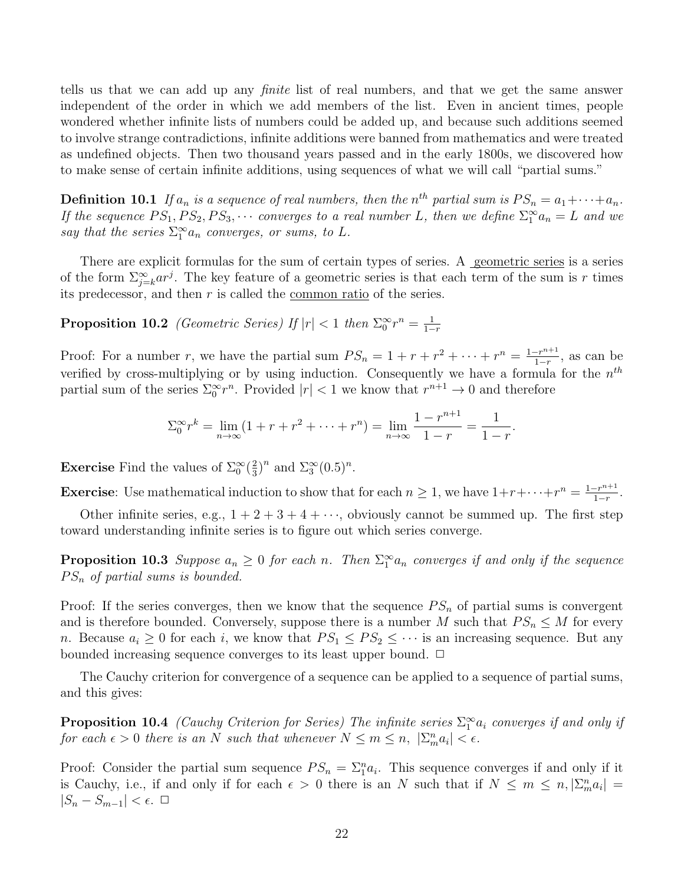tells us that we can add up any finite list of real numbers, and that we get the same answer independent of the order in which we add members of the list. Even in ancient times, people wondered whether infinite lists of numbers could be added up, and because such additions seemed to involve strange contradictions, infinite additions were banned from mathematics and were treated as undefined objects. Then two thousand years passed and in the early 1800s, we discovered how to make sense of certain infinite additions, using sequences of what we will call "partial sums."

**Definition 10.1** If  $a_n$  is a sequence of real numbers, then the  $n^{th}$  partial sum is  $PS_n = a_1 + \cdots + a_n$ . If the sequence  $PS_1, PS_2, PS_3, \cdots$  converges to a real number L, then we define  $\Sigma_1^{\infty} a_n = L$  and we say that the series  $\sum_{1}^{\infty} a_n$  converges, or sums, to L.

There are explicit formulas for the sum of certain types of series. A geometric series is a series of the form  $\sum_{j=k}^{\infty} ar^j$ . The key feature of a geometric series is that each term of the sum is r times its predecessor, and then  $r$  is called the <u>common ratio</u> of the series.

Proposition 10.2 (Geometric Series) If  $|r| < 1$  then  $\Sigma_0^{\infty} r^n = \frac{1}{1-r}$  $1-r$ 

Proof: For a number r, we have the partial sum  $PS_n = 1 + r + r^2 + \cdots + r^n = \frac{1 - r^{n+1}}{1 - r}$  $\frac{-r^{n+1}}{1-r}$ , as can be verified by cross-multiplying or by using induction. Consequently we have a formula for the  $n^{th}$ partial sum of the series  $\sum_{0}^{\infty} r^{n}$ . Provided  $|r| < 1$  we know that  $r^{n+1} \to 0$  and therefore

$$
\sum_{0}^{\infty} r^{k} = \lim_{n \to \infty} (1 + r + r^{2} + \dots + r^{n}) = \lim_{n \to \infty} \frac{1 - r^{n+1}}{1 - r} = \frac{1}{1 - r}.
$$

**Exercise** Find the values of  $\Sigma_0^{\infty}(\frac{2}{3})$  $(\frac{2}{3})^n$  and  $\Sigma_3^{\infty}(0.5)^n$ .

**Exercise:** Use mathematical induction to show that for each  $n \geq 1$ , we have  $1+r+\cdots+r^n = \frac{1-r^{n+1}}{1-r}$  $\frac{-r^{n+1}}{1-r}$ .

Other infinite series, e.g.,  $1 + 2 + 3 + 4 + \cdots$ , obviously cannot be summed up. The first step toward understanding infinite series is to figure out which series converge.

**Proposition 10.3** Suppose  $a_n \geq 0$  for each n. Then  $\sum_{1}^{\infty} a_n$  converges if and only if the sequence  $PS_n$  of partial sums is bounded.

Proof: If the series converges, then we know that the sequence  $PS_n$  of partial sums is convergent and is therefore bounded. Conversely, suppose there is a number M such that  $PS_n \leq M$  for every n. Because  $a_i \geq 0$  for each i, we know that  $PS_1 \leq PS_2 \leq \cdots$  is an increasing sequence. But any bounded increasing sequence converges to its least upper bound.  $\Box$ 

The Cauchy criterion for convergence of a sequence can be applied to a sequence of partial sums, and this gives:

**Proposition 10.4** (Cauchy Criterion for Series) The infinite series  $\sum_1^{\infty} a_i$  converges if and only if for each  $\epsilon > 0$  there is an N such that whenever  $N \le m \le n$ ,  $|\sum_{m}^{n} a_i| < \epsilon$ .

Proof: Consider the partial sum sequence  $PS_n = \sum_{i=1}^{n} a_i$ . This sequence converges if and only if it is Cauchy, i.e., if and only if for each  $\epsilon > 0$  there is an N such that if  $N \leq m \leq n, |\Sigma_{m}^{n} a_i|$  $|S_n - S_{m-1}| < \epsilon$ . □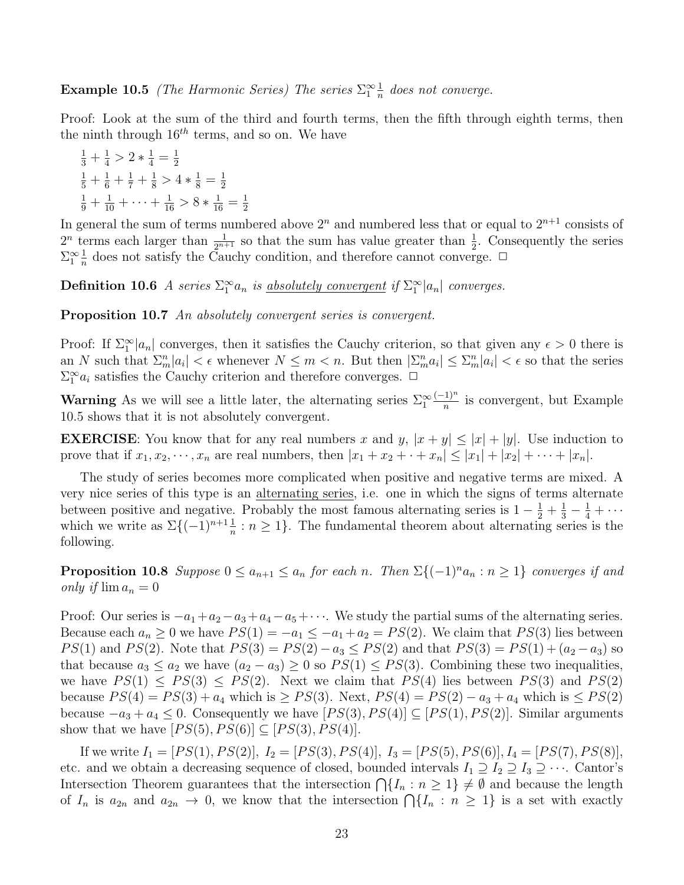**Example 10.5** (The Harmonic Series) The series  $\sum_{1}^{\infty} \frac{1}{n}$  $\frac{1}{n}$  does not converge.

Proof: Look at the sum of the third and fourth terms, then the fifth through eighth terms, then the ninth through  $16^{th}$  terms, and so on. We have

$$
\frac{1}{3} + \frac{1}{4} > 2 * \frac{1}{4} = \frac{1}{2}
$$
  

$$
\frac{1}{5} + \frac{1}{6} + \frac{1}{7} + \frac{1}{8} > 4 * \frac{1}{8} = \frac{1}{2}
$$
  

$$
\frac{1}{9} + \frac{1}{10} + \dots + \frac{1}{16} > 8 * \frac{1}{16} = \frac{1}{2}
$$

In general the sum of terms numbered above  $2^n$  and numbered less that or equal to  $2^{n+1}$  consists of  $2^n$  terms each larger than  $\frac{1}{2^{n+1}}$  so that the sum has value greater than  $\frac{1}{2}$ . Consequently the series  $\sum_{1}^{\infty} \frac{1}{n}$  $\frac{1}{n}$  does not satisfy the Cauchy condition, and therefore cannot converge.  $\Box$ 

**Definition 10.6** A series  $\sum_{1}^{\infty} a_n$  is <u>absolutely convergent</u> if  $\sum_{1}^{\infty} |a_n|$  converges.

Proposition 10.7 An absolutely convergent series is convergent.

Proof: If  $\Sigma_1^{\infty} |a_n|$  converges, then it satisfies the Cauchy criterion, so that given any  $\epsilon > 0$  there is an N such that  $\sum_{m}^n |a_i| < \epsilon$  whenever  $N \leq m < n$ . But then  $|\sum_{m}^n a_i| \leq \sum_{m}^n |a_i| < \epsilon$  so that the series  $\sum_1^{\infty} a_i$  satisfies the Cauchy criterion and therefore converges.  $\Box$ 

**Warning** As we will see a little later, the alternating series  $\Sigma_1^{\infty}$  $(-1)^n$  $\frac{1}{n}$  is convergent, but Example 10.5 shows that it is not absolutely convergent.

**EXERCISE:** You know that for any real numbers x and y,  $|x + y| \leq |x| + |y|$ . Use induction to prove that if  $x_1, x_2, \dots, x_n$  are real numbers, then  $|x_1 + x_2 + \dots + x_n| \leq |x_1| + |x_2| + \dots + |x_n|$ .

The study of series becomes more complicated when positive and negative terms are mixed. A very nice series of this type is an alternating series, i.e. one in which the signs of terms alternate between positive and negative. Probably the most famous alternating series is  $1 - \frac{1}{2} + \frac{1}{3} - \frac{1}{4} + \cdots$ which we write as  $\Sigma\{(-1)^{n+1}\frac{1}{n}:n\geq 1\}$ . The fundamental theorem about alternating series is the following.

**Proposition 10.8** Suppose  $0 \le a_{n+1} \le a_n$  for each n. Then  $\Sigma\{(-1)^n a_n : n \ge 1\}$  converges if and only if  $\lim a_n = 0$ 

Proof: Our series is  $-a_1+a_2-a_3+a_4-a_5+\cdots$ . We study the partial sums of the alternating series. Because each  $a_n \geq 0$  we have  $PS(1) = -a_1 \leq -a_1 + a_2 = PS(2)$ . We claim that  $PS(3)$  lies between PS(1) and PS(2). Note that  $PS(3) = PS(2) - a_3 \le PS(2)$  and that  $PS(3) = PS(1) + (a_2 - a_3)$  so that because  $a_3 \le a_2$  we have  $(a_2 - a_3) \ge 0$  so  $PS(1) \le PS(3)$ . Combining these two inequalities, we have  $PS(1) \leq PS(3) \leq PS(2)$ . Next we claim that  $PS(4)$  lies between  $PS(3)$  and  $PS(2)$ because  $PS(4) = PS(3) + a_4$  which is  $\geq PS(3)$ . Next,  $PS(4) = PS(2) - a_3 + a_4$  which is  $\leq PS(2)$ because  $-a_3 + a_4 \leq 0$ . Consequently we have  $[PS(3), PS(4)] \subseteq [PS(1), PS(2)]$ . Similar arguments show that we have  $[PS(5), PS(6)] \subseteq [PS(3), PS(4)]$ .

If we write  $I_1 = [PS(1), PS(2)], I_2 = [PS(3), PS(4)], I_3 = [PS(5), PS(6)], I_4 = [PS(7), PS(8)],$ etc. and we obtain a decreasing sequence of closed, bounded intervals  $I_1 \supseteq I_2 \supseteq I_3 \supseteq \cdots$ . Cantor's Intersection Theorem guarantees that the intersection  $\bigcap \{I_n : n \geq 1\} \neq \emptyset$  and because the length of  $I_n$  is  $a_{2n}$  and  $a_{2n} \to 0$ , we know that the intersection  $\bigcap \{I_n : n \geq 1\}$  is a set with exactly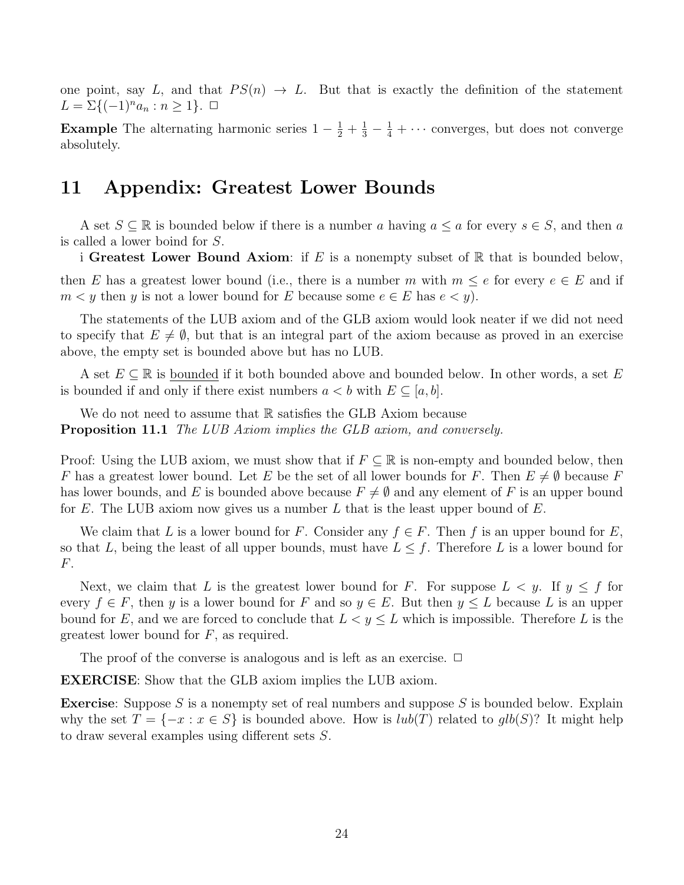one point, say L, and that  $PS(n) \to L$ . But that is exactly the definition of the statement  $L = \Sigma \{ (-1)^n a_n : n \geq 1 \}.$ 

**Example** The alternating harmonic series  $1 - \frac{1}{2} + \frac{1}{3} - \frac{1}{4} + \cdots$  converges, but does not converge absolutely.

### 11 Appendix: Greatest Lower Bounds

A set  $S \subseteq \mathbb{R}$  is bounded below if there is a number a having  $a \le a$  for every  $s \in S$ , and then a is called a lower boind for S.

i Greatest Lower Bound Axiom: if  $E$  is a nonempty subset of  $\mathbb R$  that is bounded below,

then E has a greatest lower bound (i.e., there is a number m with  $m \leq e$  for every  $e \in E$  and if  $m < y$  then y is not a lower bound for E because some  $e \in E$  has  $e < y$ .

The statements of the LUB axiom and of the GLB axiom would look neater if we did not need to specify that  $E \neq \emptyset$ , but that is an integral part of the axiom because as proved in an exercise above, the empty set is bounded above but has no LUB.

A set  $E \subseteq \mathbb{R}$  is bounded if it both bounded above and bounded below. In other words, a set E is bounded if and only if there exist numbers  $a < b$  with  $E \subseteq [a, b]$ .

We do not need to assume that  $\mathbb R$  satisfies the GLB Axiom because Proposition 11.1 The LUB Axiom implies the GLB axiom, and conversely.

Proof: Using the LUB axiom, we must show that if  $F \subseteq \mathbb{R}$  is non-empty and bounded below, then F has a greatest lower bound. Let E be the set of all lower bounds for F. Then  $E \neq \emptyset$  because F has lower bounds, and E is bounded above because  $F \neq \emptyset$  and any element of F is an upper bound for E. The LUB axiom now gives us a number L that is the least upper bound of  $E$ .

We claim that L is a lower bound for F. Consider any  $f \in F$ . Then f is an upper bound for E, so that L, being the least of all upper bounds, must have  $L \leq f$ . Therefore L is a lower bound for F.

Next, we claim that L is the greatest lower bound for F. For suppose  $L < y$ . If  $y \le f$  for every  $f \in F$ , then y is a lower bound for F and so  $y \in E$ . But then  $y \leq L$  because L is an upper bound for E, and we are forced to conclude that  $L < y \leq L$  which is impossible. Therefore L is the greatest lower bound for  $F$ , as required.

The proof of the converse is analogous and is left as an exercise.  $\Box$ 

EXERCISE: Show that the GLB axiom implies the LUB axiom.

**Exercise:** Suppose S is a nonempty set of real numbers and suppose S is bounded below. Explain why the set  $T = \{-x : x \in S\}$  is bounded above. How is  $lub(T)$  related to  $glb(S)$ ? It might help to draw several examples using different sets S.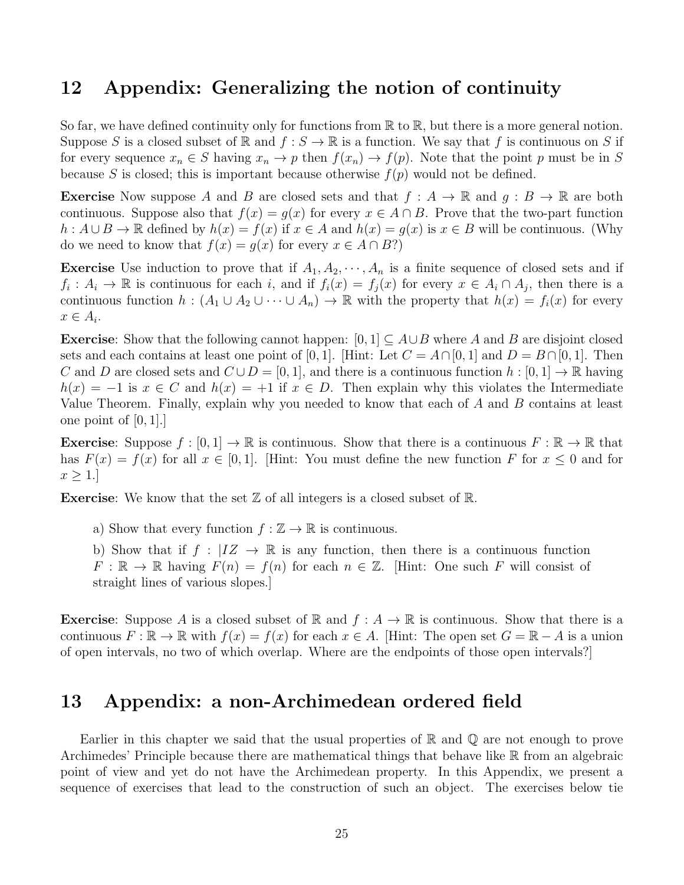### 12 Appendix: Generalizing the notion of continuity

So far, we have defined continuity only for functions from  $\mathbb R$  to  $\mathbb R$ , but there is a more general notion. Suppose S is a closed subset of R and  $f : S \to \mathbb{R}$  is a function. We say that f is continuous on S if for every sequence  $x_n \in S$  having  $x_n \to p$  then  $f(x_n) \to f(p)$ . Note that the point p must be in S because S is closed; this is important because otherwise  $f(p)$  would not be defined.

**Exercise** Now suppose A and B are closed sets and that  $f : A \to \mathbb{R}$  and  $g : B \to \mathbb{R}$  are both continuous. Suppose also that  $f(x) = g(x)$  for every  $x \in A \cap B$ . Prove that the two-part function  $h: A \cup B \to \mathbb{R}$  defined by  $h(x) = f(x)$  if  $x \in A$  and  $h(x) = q(x)$  is  $x \in B$  will be continuous. (Why do we need to know that  $f(x) = g(x)$  for every  $x \in A \cap B$ ?)

**Exercise** Use induction to prove that if  $A_1, A_2, \dots, A_n$  is a finite sequence of closed sets and if  $f_i: A_i \to \mathbb{R}$  is continuous for each i, and if  $f_i(x) = f_j(x)$  for every  $x \in A_i \cap A_j$ , then there is a continuous function  $h : (A_1 \cup A_2 \cup \cdots \cup A_n) \to \mathbb{R}$  with the property that  $h(x) = f_i(x)$  for every  $x \in A_i$ .

**Exercise:** Show that the following cannot happen:  $[0,1] \subseteq A \cup B$  where A and B are disjoint closed sets and each contains at least one point of [0, 1]. [Hint: Let  $C = A \cap [0, 1]$  and  $D = B \cap [0, 1]$ . Then C and D are closed sets and  $C \cup D = [0, 1]$ , and there is a continuous function  $h : [0, 1] \to \mathbb{R}$  having  $h(x) = -1$  is  $x \in C$  and  $h(x) = +1$  if  $x \in D$ . Then explain why this violates the Intermediate Value Theorem. Finally, explain why you needed to know that each of A and B contains at least one point of [0, 1].]

**Exercise:** Suppose  $f : [0, 1] \to \mathbb{R}$  is continuous. Show that there is a continuous  $F : \mathbb{R} \to \mathbb{R}$  that has  $F(x) = f(x)$  for all  $x \in [0, 1]$ . [Hint: You must define the new function F for  $x \le 0$  and for  $x \geq 1$ .

**Exercise:** We know that the set  $\mathbb{Z}$  of all integers is a closed subset of  $\mathbb{R}$ .

a) Show that every function  $f : \mathbb{Z} \to \mathbb{R}$  is continuous.

b) Show that if  $f : |IZ \rightarrow \mathbb{R}$  is any function, then there is a continuous function  $F: \mathbb{R} \to \mathbb{R}$  having  $F(n) = f(n)$  for each  $n \in \mathbb{Z}$ . [Hint: One such F will consist of straight lines of various slopes.]

**Exercise:** Suppose A is a closed subset of R and  $f : A \to \mathbb{R}$  is continuous. Show that there is a continuous  $F : \mathbb{R} \to \mathbb{R}$  with  $f(x) = f(x)$  for each  $x \in A$ . [Hint: The open set  $G = \mathbb{R} - A$  is a union of open intervals, no two of which overlap. Where are the endpoints of those open intervals?]

### 13 Appendix: a non-Archimedean ordered field

Earlier in this chapter we said that the usual properties of  $\mathbb R$  and  $\mathbb Q$  are not enough to prove Archimedes' Principle because there are mathematical things that behave like  $\mathbb R$  from an algebraic point of view and yet do not have the Archimedean property. In this Appendix, we present a sequence of exercises that lead to the construction of such an object. The exercises below tie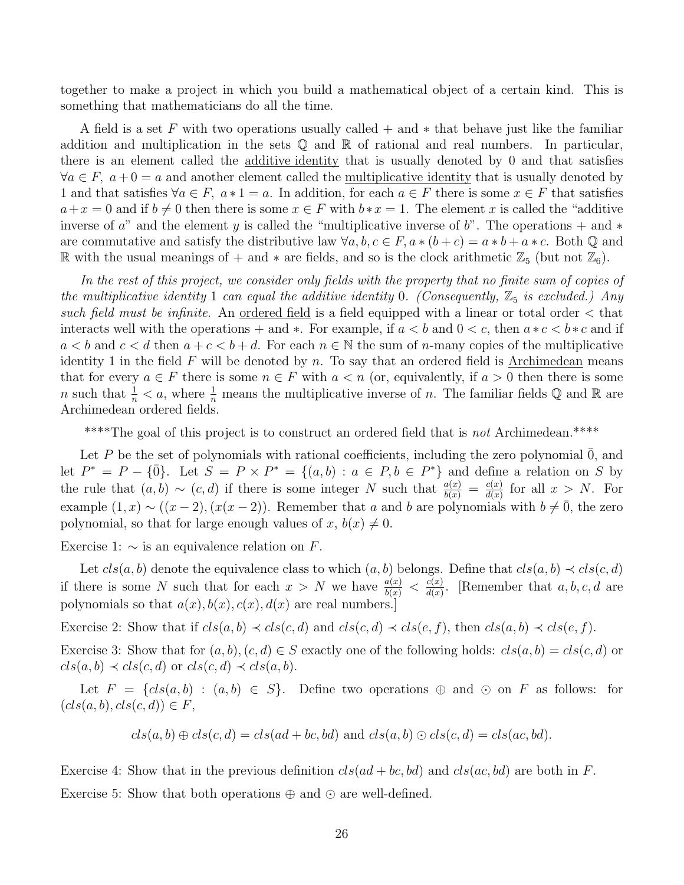together to make a project in which you build a mathematical object of a certain kind. This is something that mathematicians do all the time.

A field is a set F with two operations usually called  $+$  and  $*$  that behave just like the familiar addition and multiplication in the sets  $\mathbb Q$  and  $\mathbb R$  of rational and real numbers. In particular, there is an element called the additive identity that is usually denoted by 0 and that satisfies  $\forall a \in F$ ,  $a + 0 = a$  and another element called the <u>multiplicative identity</u> that is usually denoted by 1 and that satisfies  $\forall a \in F$ ,  $a * 1 = a$ . In addition, for each  $a \in F$  there is some  $x \in F$  that satisfies  $a+x=0$  and if  $b \neq 0$  then there is some  $x \in F$  with  $b*x = 1$ . The element x is called the "additive" inverse of a" and the element y is called the "multiplicative inverse of b". The operations + and  $*$ are commutative and satisfy the distributive law  $\forall a, b, c \in F$ ,  $a * (b + c) = a * b + a * c$ . Both  $\mathbb{Q}$  and R with the usual meanings of + and  $*$  are fields, and so is the clock arithmetic  $\mathbb{Z}_5$  (but not  $\mathbb{Z}_6$ ).

In the rest of this project, we consider only fields with the property that no finite sum of copies of the multiplicative identity 1 can equal the additive identity 0. (Consequently,  $\mathbb{Z}_5$  is excluded.) Any such field must be infinite. An <u>ordered field</u> is a field equipped with a linear or total order  $\lt$  that interacts well with the operations + and \*. For example, if  $a < b$  and  $0 < c$ , then  $a * c < b * c$  and if  $a < b$  and  $c < d$  then  $a + c < b + d$ . For each  $n \in \mathbb{N}$  the sum of *n*-many copies of the multiplicative identity 1 in the field  $F$  will be denoted by n. To say that an ordered field is Archimedean means that for every  $a \in F$  there is some  $n \in F$  with  $a < n$  (or, equivalently, if  $a > 0$  then there is some n such that  $\frac{1}{n} < a$ , where  $\frac{1}{n}$  means the multiplicative inverse of n. The familiar fields Q and R are Archimedean ordered fields.

\*\*\*\*The goal of this project is to construct an ordered field that is not Archimedean.\*\*\*\*

Let P be the set of polynomials with rational coefficients, including the zero polynomial  $\overline{0}$ , and let  $P^* = P - {\overline{0}}.$  Let  $S = P \times P^* = {(a, b) : a \in P, b \in P^* }$  and define a relation on S by the rule that  $(a, b) \sim (c, d)$  if there is some integer N such that  $\frac{a(x)}{b(x)} = \frac{c(x)}{d(x)}$  $\frac{c(x)}{d(x)}$  for all  $x > N$ . For example  $(1, x) \sim ((x - 2), (x(x - 2))$ . Remember that a and b are polynomials with  $b \neq 0$ , the zero polynomial, so that for large enough values of x,  $b(x) \neq 0$ .

Exercise 1:  $\sim$  is an equivalence relation on F.

Let  $cls(a, b)$  denote the equivalence class to which  $(a, b)$  belongs. Define that  $cls(a, b) \prec cls(c, d)$ if there is some N such that for each  $x > N$  we have  $\frac{a(x)}{b(x)} < \frac{c(x)}{d(x)}$  $\frac{c(x)}{d(x)}$ . [Remember that a, b, c, d are polynomials so that  $a(x)$ ,  $b(x)$ ,  $c(x)$ ,  $d(x)$  are real numbers.

Exercise 2: Show that if  $cls(a, b) \prec cls(c, d)$  and  $cls(c, d) \prec cls(e, f)$ , then  $cls(a, b) \prec cls(e, f)$ .

Exercise 3: Show that for  $(a, b), (c, d) \in S$  exactly one of the following holds:  $cls(a, b) = cls(c, d)$  or  $cls(a, b) \prec cls(c, d)$  or  $cls(c, d) \prec cls(a, b)$ .

Let  $F = \{cls(a, b) : (a, b) \in S\}$ . Define two operations  $\oplus$  and  $\odot$  on F as follows: for  $(cls(a, b), cls(c, d)) \in F$ ,

$$
cls(a, b) \oplus cls(c, d) = cls(ad + bc, bd) \text{ and } cls(a, b) \odot cls(c, d) = cls(ac, bd).
$$

Exercise 4: Show that in the previous definition  $cls(ad + bc, bd)$  and  $cls(ac, bd)$  are both in F. Exercise 5: Show that both operations  $\oplus$  and  $\odot$  are well-defined.